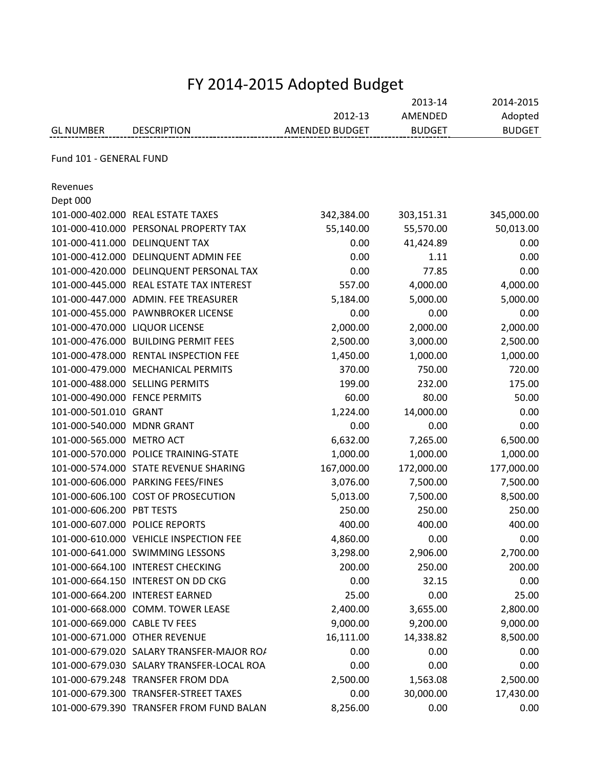|                                | FY 2014-2015 Adopted Budget               |                |                    |                      |  |
|--------------------------------|-------------------------------------------|----------------|--------------------|----------------------|--|
|                                |                                           | 2012-13        | 2013-14<br>AMENDED | 2014-2015<br>Adopted |  |
| <b>GL NUMBER</b>               | <b>DESCRIPTION</b>                        | AMENDED BUDGET | <b>BUDGET</b>      | <b>BUDGET</b>        |  |
| Fund 101 - GENERAL FUND        |                                           |                |                    |                      |  |
|                                |                                           |                |                    |                      |  |
| Revenues                       |                                           |                |                    |                      |  |
| Dept 000                       |                                           |                |                    |                      |  |
|                                | 101-000-402.000 REAL ESTATE TAXES         | 342,384.00     | 303,151.31         | 345,000.00           |  |
|                                | 101-000-410.000 PERSONAL PROPERTY TAX     | 55,140.00      | 55,570.00          | 50,013.00            |  |
|                                | 101-000-411.000 DELINQUENT TAX            | 0.00           | 41,424.89          | 0.00                 |  |
|                                | 101-000-412.000 DELINQUENT ADMIN FEE      | 0.00           | 1.11               | 0.00                 |  |
|                                | 101-000-420.000 DELINQUENT PERSONAL TAX   | 0.00           | 77.85              | 0.00                 |  |
|                                | 101-000-445.000 REAL ESTATE TAX INTEREST  | 557.00         | 4,000.00           | 4,000.00             |  |
|                                | 101-000-447.000 ADMIN. FEE TREASURER      | 5,184.00       | 5,000.00           | 5,000.00             |  |
|                                | 101-000-455.000 PAWNBROKER LICENSE        | 0.00           | 0.00               | 0.00                 |  |
| 101-000-470.000 LIQUOR LICENSE |                                           | 2,000.00       | 2,000.00           | 2,000.00             |  |
|                                | 101-000-476.000 BUILDING PERMIT FEES      | 2,500.00       | 3,000.00           | 2,500.00             |  |
|                                | 101-000-478.000 RENTAL INSPECTION FEE     | 1,450.00       | 1,000.00           | 1,000.00             |  |
|                                | 101-000-479.000 MECHANICAL PERMITS        | 370.00         | 750.00             | 720.00               |  |
|                                | 101-000-488.000 SELLING PERMITS           | 199.00         | 232.00             | 175.00               |  |
| 101-000-490.000 FENCE PERMITS  |                                           | 60.00          | 80.00              | 50.00                |  |
| 101-000-501.010 GRANT          |                                           | 1,224.00       | 14,000.00          | 0.00                 |  |
| 101-000-540.000 MDNR GRANT     |                                           | 0.00           | 0.00               | 0.00                 |  |
| 101-000-565.000 METRO ACT      |                                           | 6,632.00       | 7,265.00           | 6,500.00             |  |
|                                | 101-000-570.000 POLICE TRAINING-STATE     | 1,000.00       | 1,000.00           | 1,000.00             |  |
|                                | 101-000-574.000 STATE REVENUE SHARING     | 167,000.00     | 172,000.00         | 177,000.00           |  |
|                                | 101-000-606.000 PARKING FEES/FINES        | 3,076.00       | 7,500.00           | 7,500.00             |  |
|                                | 101-000-606.100 COST OF PROSECUTION       | 5,013.00       | 7,500.00           | 8,500.00             |  |
| 101-000-606.200 PBT TESTS      |                                           | 250.00         | 250.00             | 250.00               |  |
|                                | 101-000-607.000 POLICE REPORTS            | 400.00         | 400.00             | 400.00               |  |
|                                | 101-000-610.000 VEHICLE INSPECTION FEE    | 4,860.00       | 0.00               | 0.00                 |  |
|                                | 101-000-641.000 SWIMMING LESSONS          | 3,298.00       | 2,906.00           | 2,700.00             |  |
|                                | 101-000-664.100 INTEREST CHECKING         | 200.00         | 250.00             | 200.00               |  |
|                                | 101-000-664.150 INTEREST ON DD CKG        | 0.00           | 32.15              | 0.00                 |  |
|                                | 101-000-664.200 INTEREST EARNED           | 25.00          | 0.00               | 25.00                |  |
|                                |                                           |                |                    |                      |  |
| 101-000-669.000 CABLE TV FEES  | 101-000-668.000 COMM. TOWER LEASE         | 2,400.00       | 3,655.00           | 2,800.00             |  |
|                                |                                           | 9,000.00       | 9,200.00           | 9,000.00             |  |
|                                | 101-000-671.000 OTHER REVENUE             | 16,111.00      | 14,338.82          | 8,500.00             |  |
|                                | 101-000-679.020 SALARY TRANSFER-MAJOR ROA | 0.00           | 0.00               | 0.00                 |  |
|                                | 101-000-679.030 SALARY TRANSFER-LOCAL ROA | 0.00           | 0.00               | 0.00                 |  |
|                                | 101-000-679.248 TRANSFER FROM DDA         | 2,500.00       | 1,563.08           | 2,500.00             |  |
|                                | 101-000-679.300 TRANSFER-STREET TAXES     | 0.00           | 30,000.00          | 17,430.00            |  |
|                                | 101-000-679.390 TRANSFER FROM FUND BALAN  | 8,256.00       | 0.00               | 0.00                 |  |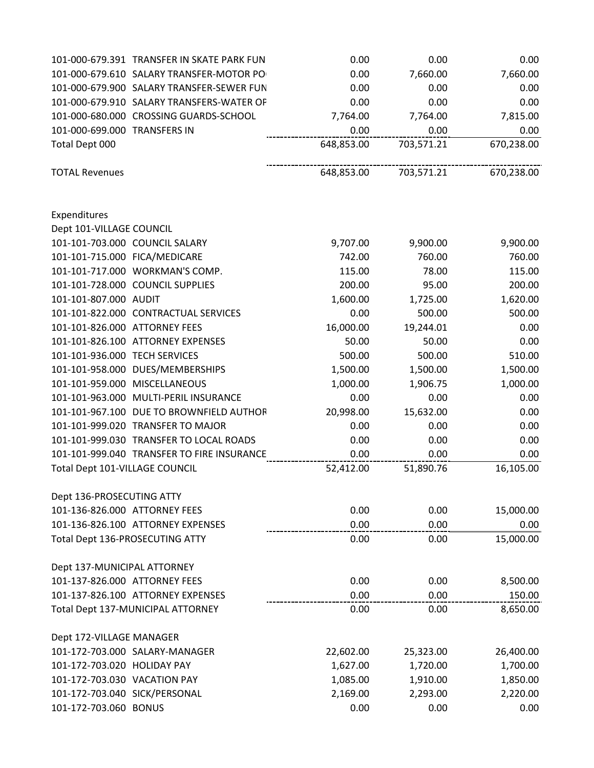|                                | 101-000-679.391 TRANSFER IN SKATE PARK FUN | 0.00       | 0.00       | 0.00       |
|--------------------------------|--------------------------------------------|------------|------------|------------|
|                                | 101-000-679.610 SALARY TRANSFER-MOTOR PO   | 0.00       | 7,660.00   | 7,660.00   |
|                                | 101-000-679.900 SALARY TRANSFER-SEWER FUN  | 0.00       | 0.00       | 0.00       |
|                                | 101-000-679.910 SALARY TRANSFERS-WATER OF  | 0.00       | 0.00       | 0.00       |
|                                | 101-000-680.000 CROSSING GUARDS-SCHOOL     | 7,764.00   | 7,764.00   | 7,815.00   |
| 101-000-699.000 TRANSFERS IN   |                                            | 0.00       | 0.00       | 0.00       |
| Total Dept 000                 |                                            | 648,853.00 | 703,571.21 | 670,238.00 |
| <b>TOTAL Revenues</b>          |                                            | 648,853.00 | 703,571.21 | 670,238.00 |
| Expenditures                   |                                            |            |            |            |
| Dept 101-VILLAGE COUNCIL       |                                            |            |            |            |
|                                | 101-101-703.000 COUNCIL SALARY             | 9,707.00   | 9,900.00   | 9,900.00   |
| 101-101-715.000 FICA/MEDICARE  |                                            | 742.00     | 760.00     | 760.00     |
|                                | 101-101-717.000 WORKMAN'S COMP.            | 115.00     | 78.00      | 115.00     |
|                                | 101-101-728.000 COUNCIL SUPPLIES           | 200.00     | 95.00      | 200.00     |
| 101-101-807.000 AUDIT          |                                            | 1,600.00   | 1,725.00   | 1,620.00   |
|                                | 101-101-822.000 CONTRACTUAL SERVICES       | 0.00       | 500.00     | 500.00     |
| 101-101-826.000 ATTORNEY FEES  |                                            | 16,000.00  | 19,244.01  | 0.00       |
|                                | 101-101-826.100 ATTORNEY EXPENSES          | 50.00      | 50.00      | 0.00       |
| 101-101-936.000 TECH SERVICES  |                                            | 500.00     | 500.00     | 510.00     |
|                                | 101-101-958.000 DUES/MEMBERSHIPS           | 1,500.00   | 1,500.00   | 1,500.00   |
|                                | 101-101-959.000 MISCELLANEOUS              | 1,000.00   | 1,906.75   | 1,000.00   |
|                                | 101-101-963.000 MULTI-PERIL INSURANCE      | 0.00       | 0.00       | 0.00       |
|                                | 101-101-967.100 DUE TO BROWNFIELD AUTHOR   | 20,998.00  | 15,632.00  | 0.00       |
|                                | 101-101-999.020 TRANSFER TO MAJOR          | 0.00       | 0.00       | 0.00       |
|                                | 101-101-999.030 TRANSFER TO LOCAL ROADS    | 0.00       | 0.00       | 0.00       |
|                                | 101-101-999.040 TRANSFER TO FIRE INSURANCE | 0.00       | 0.00       | 0.00       |
| Total Dept 101-VILLAGE COUNCIL |                                            | 52,412.00  | 51,890.76  | 16,105.00  |
| Dept 136-PROSECUTING ATTY      |                                            |            |            |            |
| 101-136-826.000 ATTORNEY FEES  |                                            | 0.00       | 0.00       | 15,000.00  |
|                                | 101-136-826.100 ATTORNEY EXPENSES          | 0.00       | 0.00       | 0.00       |
|                                | Total Dept 136-PROSECUTING ATTY            | 0.00       | 0.00       | 15,000.00  |
| Dept 137-MUNICIPAL ATTORNEY    |                                            |            |            |            |
| 101-137-826.000 ATTORNEY FEES  |                                            | 0.00       | 0.00       | 8,500.00   |
|                                | 101-137-826.100 ATTORNEY EXPENSES          | 0.00       | 0.00       | 150.00     |
|                                | Total Dept 137-MUNICIPAL ATTORNEY          | 0.00       | 0.00       | 8,650.00   |
| Dept 172-VILLAGE MANAGER       |                                            |            |            |            |
|                                | 101-172-703.000 SALARY-MANAGER             | 22,602.00  | 25,323.00  | 26,400.00  |
| 101-172-703.020 HOLIDAY PAY    |                                            | 1,627.00   | 1,720.00   | 1,700.00   |
| 101-172-703.030 VACATION PAY   |                                            | 1,085.00   | 1,910.00   | 1,850.00   |
| 101-172-703.040 SICK/PERSONAL  |                                            | 2,169.00   | 2,293.00   | 2,220.00   |
| 101-172-703.060 BONUS          |                                            | 0.00       | 0.00       | 0.00       |
|                                |                                            |            |            |            |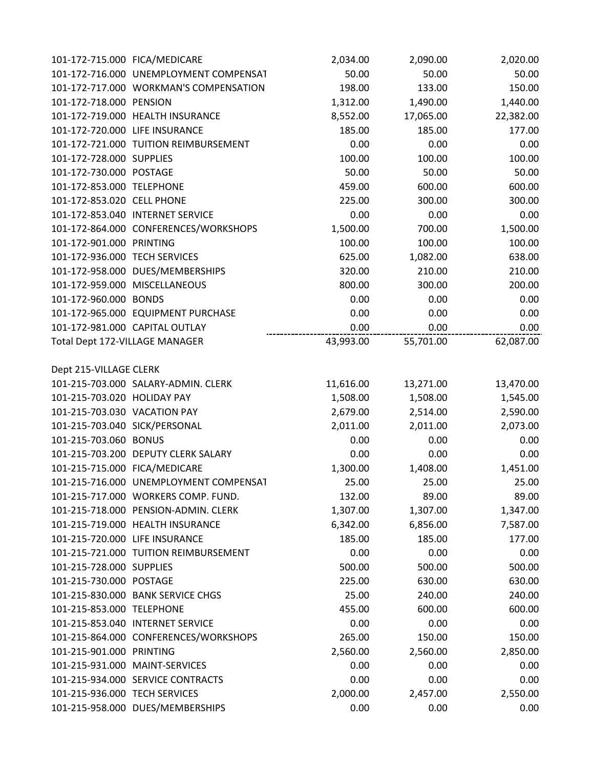| 101-172-715.000 FICA/MEDICARE  |                                        | 2,034.00  | 2,090.00  | 2,020.00  |
|--------------------------------|----------------------------------------|-----------|-----------|-----------|
|                                | 101-172-716.000 UNEMPLOYMENT COMPENSAT | 50.00     | 50.00     | 50.00     |
|                                | 101-172-717.000 WORKMAN'S COMPENSATION | 198.00    | 133.00    | 150.00    |
| 101-172-718.000 PENSION        |                                        | 1,312.00  | 1,490.00  | 1,440.00  |
|                                | 101-172-719.000 HEALTH INSURANCE       | 8,552.00  | 17,065.00 | 22,382.00 |
| 101-172-720.000 LIFE INSURANCE |                                        | 185.00    | 185.00    | 177.00    |
|                                | 101-172-721.000 TUITION REIMBURSEMENT  | 0.00      | 0.00      | 0.00      |
| 101-172-728.000 SUPPLIES       |                                        | 100.00    | 100.00    | 100.00    |
| 101-172-730.000 POSTAGE        |                                        | 50.00     | 50.00     | 50.00     |
| 101-172-853.000 TELEPHONE      |                                        | 459.00    | 600.00    | 600.00    |
| 101-172-853.020 CELL PHONE     |                                        | 225.00    | 300.00    | 300.00    |
|                                | 101-172-853.040 INTERNET SERVICE       | 0.00      | 0.00      | 0.00      |
|                                | 101-172-864.000 CONFERENCES/WORKSHOPS  | 1,500.00  | 700.00    | 1,500.00  |
| 101-172-901.000 PRINTING       |                                        | 100.00    | 100.00    | 100.00    |
| 101-172-936.000 TECH SERVICES  |                                        | 625.00    | 1,082.00  | 638.00    |
|                                | 101-172-958.000 DUES/MEMBERSHIPS       | 320.00    | 210.00    | 210.00    |
|                                | 101-172-959.000 MISCELLANEOUS          | 800.00    | 300.00    | 200.00    |
| 101-172-960.000 BONDS          |                                        | 0.00      | 0.00      | 0.00      |
|                                | 101-172-965.000 EQUIPMENT PURCHASE     | 0.00      | 0.00      | 0.00      |
|                                | 101-172-981.000 CAPITAL OUTLAY         | 0.00      | 0.00      | 0.00      |
| Total Dept 172-VILLAGE MANAGER |                                        | 43,993.00 | 55,701.00 | 62,087.00 |
| Dept 215-VILLAGE CLERK         |                                        |           |           |           |
|                                | 101-215-703.000 SALARY-ADMIN. CLERK    | 11,616.00 | 13,271.00 | 13,470.00 |
| 101-215-703.020 HOLIDAY PAY    |                                        | 1,508.00  | 1,508.00  | 1,545.00  |
| 101-215-703.030 VACATION PAY   |                                        | 2,679.00  | 2,514.00  | 2,590.00  |
| 101-215-703.040 SICK/PERSONAL  |                                        | 2,011.00  | 2,011.00  | 2,073.00  |
| 101-215-703.060 BONUS          |                                        | 0.00      | 0.00      | 0.00      |
|                                | 101-215-703.200 DEPUTY CLERK SALARY    | 0.00      | 0.00      | 0.00      |
| 101-215-715.000 FICA/MEDICARE  |                                        | 1,300.00  | 1,408.00  | 1,451.00  |
|                                | 101-215-716.000 UNEMPLOYMENT COMPENSAT | 25.00     | 25.00     | 25.00     |
|                                | 101-215-717.000 WORKERS COMP. FUND.    | 132.00    | 89.00     | 89.00     |
|                                | 101-215-718.000 PENSION-ADMIN. CLERK   | 1,307.00  | 1,307.00  | 1,347.00  |
|                                | 101-215-719.000 HEALTH INSURANCE       | 6,342.00  | 6,856.00  | 7,587.00  |
| 101-215-720.000 LIFE INSURANCE |                                        | 185.00    | 185.00    | 177.00    |
|                                | 101-215-721.000 TUITION REIMBURSEMENT  | 0.00      | 0.00      | 0.00      |
| 101-215-728.000 SUPPLIES       |                                        | 500.00    | 500.00    | 500.00    |
| 101-215-730.000 POSTAGE        |                                        | 225.00    | 630.00    | 630.00    |
|                                | 101-215-830.000 BANK SERVICE CHGS      | 25.00     | 240.00    | 240.00    |
| 101-215-853.000 TELEPHONE      |                                        | 455.00    | 600.00    | 600.00    |
|                                | 101-215-853.040 INTERNET SERVICE       | 0.00      | 0.00      | 0.00      |
|                                | 101-215-864.000 CONFERENCES/WORKSHOPS  | 265.00    | 150.00    | 150.00    |
| 101-215-901.000 PRINTING       |                                        | 2,560.00  | 2,560.00  | 2,850.00  |
|                                | 101-215-931.000 MAINT-SERVICES         | 0.00      | 0.00      | 0.00      |
|                                | 101-215-934.000 SERVICE CONTRACTS      | 0.00      | 0.00      | 0.00      |
| 101-215-936.000 TECH SERVICES  |                                        | 2,000.00  | 2,457.00  | 2,550.00  |
|                                | 101-215-958.000 DUES/MEMBERSHIPS       | 0.00      | 0.00      | 0.00      |
|                                |                                        |           |           |           |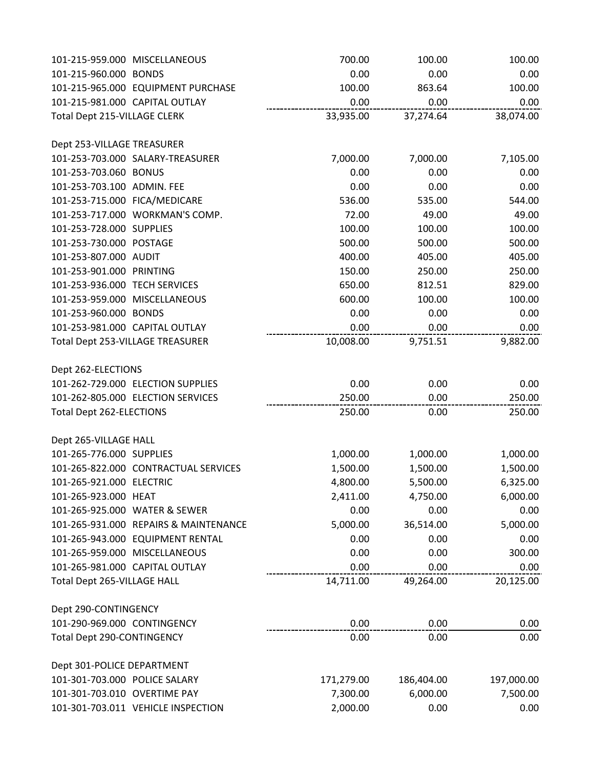| 101-215-959.000 MISCELLANEOUS   |                                         | 700.00     | 100.00     | 100.00     |
|---------------------------------|-----------------------------------------|------------|------------|------------|
| 101-215-960.000 BONDS           |                                         | 0.00       | 0.00       | 0.00       |
|                                 | 101-215-965.000 EQUIPMENT PURCHASE      | 100.00     | 863.64     | 100.00     |
| 101-215-981.000 CAPITAL OUTLAY  |                                         | 0.00       | 0.00       | 0.00       |
| Total Dept 215-VILLAGE CLERK    |                                         | 33,935.00  | 37,274.64  | 38,074.00  |
| Dept 253-VILLAGE TREASURER      |                                         |            |            |            |
|                                 | 101-253-703.000 SALARY-TREASURER        | 7,000.00   | 7,000.00   | 7,105.00   |
| 101-253-703.060 BONUS           |                                         | 0.00       | 0.00       | 0.00       |
| 101-253-703.100 ADMIN. FEE      |                                         | 0.00       | 0.00       | 0.00       |
| 101-253-715.000 FICA/MEDICARE   |                                         | 536.00     | 535.00     | 544.00     |
|                                 | 101-253-717.000 WORKMAN'S COMP.         | 72.00      | 49.00      | 49.00      |
| 101-253-728.000 SUPPLIES        |                                         | 100.00     | 100.00     | 100.00     |
| 101-253-730.000 POSTAGE         |                                         | 500.00     | 500.00     | 500.00     |
| 101-253-807.000 AUDIT           |                                         | 400.00     | 405.00     | 405.00     |
| 101-253-901.000 PRINTING        |                                         | 150.00     | 250.00     | 250.00     |
| 101-253-936.000 TECH SERVICES   |                                         | 650.00     | 812.51     | 829.00     |
| 101-253-959.000 MISCELLANEOUS   |                                         | 600.00     | 100.00     | 100.00     |
| 101-253-960.000 BONDS           |                                         | 0.00       | 0.00       | 0.00       |
| 101-253-981.000 CAPITAL OUTLAY  |                                         | 0.00       | 0.00       | 0.00       |
|                                 | <b>Total Dept 253-VILLAGE TREASURER</b> | 10,008.00  | 9,751.51   | 9,882.00   |
| Dept 262-ELECTIONS              |                                         |            |            |            |
|                                 | 101-262-729.000 ELECTION SUPPLIES       | 0.00       | 0.00       | 0.00       |
|                                 | 101-262-805.000 ELECTION SERVICES       | 250.00     | 0.00       | 250.00     |
| <b>Total Dept 262-ELECTIONS</b> |                                         | 250.00     | 0.00       | 250.00     |
| Dept 265-VILLAGE HALL           |                                         |            |            |            |
| 101-265-776.000 SUPPLIES        |                                         | 1,000.00   | 1,000.00   | 1,000.00   |
|                                 | 101-265-822.000 CONTRACTUAL SERVICES    | 1,500.00   | 1,500.00   | 1,500.00   |
| 101-265-921.000 ELECTRIC        |                                         | 4,800.00   | 5,500.00   | 6,325.00   |
| 101-265-923.000 HEAT            |                                         | 2,411.00   | 4,750.00   | 6,000.00   |
|                                 | 101-265-925.000 WATER & SEWER           | 0.00       | 0.00       | 0.00       |
|                                 | 101-265-931.000 REPAIRS & MAINTENANCE   | 5,000.00   | 36,514.00  | 5,000.00   |
|                                 | 101-265-943.000 EQUIPMENT RENTAL        | 0.00       | 0.00       | 0.00       |
| 101-265-959.000 MISCELLANEOUS   |                                         | 0.00       | 0.00       | 300.00     |
| 101-265-981.000 CAPITAL OUTLAY  |                                         | 0.00       | 0.00       | 0.00       |
| Total Dept 265-VILLAGE HALL     |                                         | 14,711.00  | 49,264.00  | 20,125.00  |
| Dept 290-CONTINGENCY            |                                         |            |            |            |
| 101-290-969.000 CONTINGENCY     |                                         | 0.00       | 0.00       | 0.00       |
| Total Dept 290-CONTINGENCY      |                                         | 0.00       | 0.00       | 0.00       |
| Dept 301-POLICE DEPARTMENT      |                                         |            |            |            |
| 101-301-703.000 POLICE SALARY   |                                         | 171,279.00 | 186,404.00 | 197,000.00 |
| 101-301-703.010 OVERTIME PAY    |                                         | 7,300.00   | 6,000.00   | 7,500.00   |
|                                 | 101-301-703.011 VEHICLE INSPECTION      | 2,000.00   | 0.00       | 0.00       |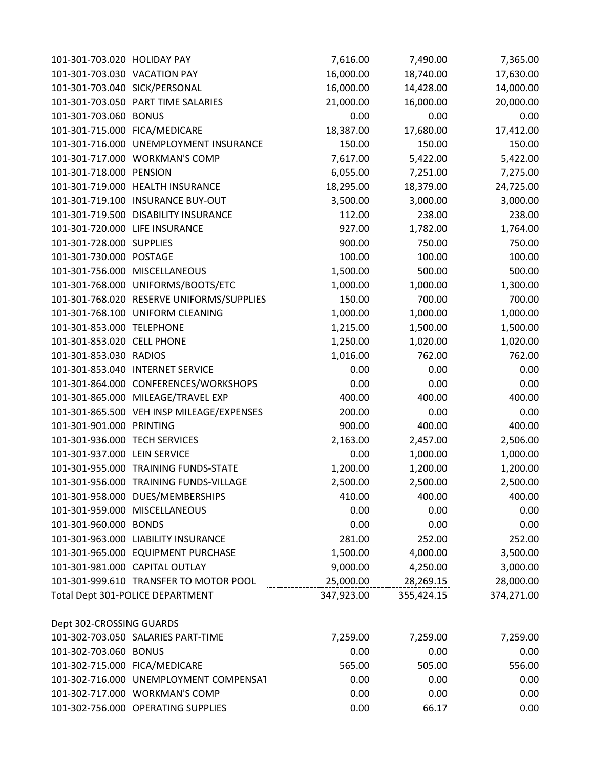| 101-301-703.020 HOLIDAY PAY    |                                           | 7,616.00   | 7,490.00   | 7,365.00   |
|--------------------------------|-------------------------------------------|------------|------------|------------|
| 101-301-703.030 VACATION PAY   |                                           | 16,000.00  | 18,740.00  | 17,630.00  |
| 101-301-703.040 SICK/PERSONAL  |                                           | 16,000.00  | 14,428.00  | 14,000.00  |
|                                | 101-301-703.050 PART TIME SALARIES        | 21,000.00  | 16,000.00  | 20,000.00  |
| 101-301-703.060 BONUS          |                                           | 0.00       | 0.00       | 0.00       |
| 101-301-715.000 FICA/MEDICARE  |                                           | 18,387.00  | 17,680.00  | 17,412.00  |
|                                | 101-301-716.000 UNEMPLOYMENT INSURANCE    | 150.00     | 150.00     | 150.00     |
|                                | 101-301-717.000 WORKMAN'S COMP            | 7,617.00   | 5,422.00   | 5,422.00   |
| 101-301-718.000 PENSION        |                                           | 6,055.00   | 7,251.00   | 7,275.00   |
|                                | 101-301-719.000 HEALTH INSURANCE          | 18,295.00  | 18,379.00  | 24,725.00  |
|                                | 101-301-719.100 INSURANCE BUY-OUT         | 3,500.00   | 3,000.00   | 3,000.00   |
|                                | 101-301-719.500 DISABILITY INSURANCE      | 112.00     | 238.00     | 238.00     |
| 101-301-720.000 LIFE INSURANCE |                                           | 927.00     | 1,782.00   | 1,764.00   |
| 101-301-728.000 SUPPLIES       |                                           | 900.00     | 750.00     | 750.00     |
| 101-301-730.000 POSTAGE        |                                           | 100.00     | 100.00     | 100.00     |
|                                | 101-301-756.000 MISCELLANEOUS             | 1,500.00   | 500.00     | 500.00     |
|                                | 101-301-768.000 UNIFORMS/BOOTS/ETC        | 1,000.00   | 1,000.00   | 1,300.00   |
|                                | 101-301-768.020 RESERVE UNIFORMS/SUPPLIES | 150.00     | 700.00     | 700.00     |
|                                | 101-301-768.100 UNIFORM CLEANING          | 1,000.00   | 1,000.00   | 1,000.00   |
| 101-301-853.000 TELEPHONE      |                                           | 1,215.00   | 1,500.00   | 1,500.00   |
| 101-301-853.020 CELL PHONE     |                                           | 1,250.00   | 1,020.00   | 1,020.00   |
| 101-301-853.030 RADIOS         |                                           | 1,016.00   | 762.00     | 762.00     |
|                                | 101-301-853.040 INTERNET SERVICE          | 0.00       | 0.00       | 0.00       |
|                                | 101-301-864.000 CONFERENCES/WORKSHOPS     | 0.00       | 0.00       | 0.00       |
|                                | 101-301-865.000 MILEAGE/TRAVEL EXP        | 400.00     | 400.00     | 400.00     |
|                                | 101-301-865.500 VEH INSP MILEAGE/EXPENSES | 200.00     | 0.00       | 0.00       |
| 101-301-901.000 PRINTING       |                                           | 900.00     | 400.00     | 400.00     |
| 101-301-936.000 TECH SERVICES  |                                           | 2,163.00   | 2,457.00   | 2,506.00   |
| 101-301-937.000 LEIN SERVICE   |                                           | 0.00       | 1,000.00   | 1,000.00   |
|                                | 101-301-955.000 TRAINING FUNDS-STATE      | 1,200.00   | 1,200.00   | 1,200.00   |
|                                | 101-301-956.000 TRAINING FUNDS-VILLAGE    | 2,500.00   | 2,500.00   | 2,500.00   |
|                                | 101-301-958.000 DUES/MEMBERSHIPS          | 410.00     | 400.00     | 400.00     |
|                                | 101-301-959.000 MISCELLANEOUS             | 0.00       | 0.00       | 0.00       |
| 101-301-960.000 BONDS          |                                           | 0.00       | 0.00       | 0.00       |
|                                | 101-301-963.000 LIABILITY INSURANCE       | 281.00     | 252.00     | 252.00     |
|                                | 101-301-965.000 EQUIPMENT PURCHASE        | 1,500.00   | 4,000.00   | 3,500.00   |
| 101-301-981.000 CAPITAL OUTLAY |                                           | 9,000.00   | 4,250.00   | 3,000.00   |
|                                | 101-301-999.610 TRANSFER TO MOTOR POOL    | 25,000.00  | 28,269.15  | 28,000.00  |
|                                | Total Dept 301-POLICE DEPARTMENT          | 347,923.00 | 355,424.15 | 374,271.00 |
| Dept 302-CROSSING GUARDS       |                                           |            |            |            |
|                                | 101-302-703.050 SALARIES PART-TIME        | 7,259.00   | 7,259.00   | 7,259.00   |
| 101-302-703.060 BONUS          |                                           | 0.00       | 0.00       | 0.00       |
| 101-302-715.000 FICA/MEDICARE  |                                           | 565.00     | 505.00     | 556.00     |
|                                | 101-302-716.000 UNEMPLOYMENT COMPENSAT    | 0.00       | 0.00       | 0.00       |
|                                | 101-302-717.000 WORKMAN'S COMP            | 0.00       | 0.00       | 0.00       |
|                                | 101-302-756.000 OPERATING SUPPLIES        | 0.00       | 66.17      | 0.00       |
|                                |                                           |            |            |            |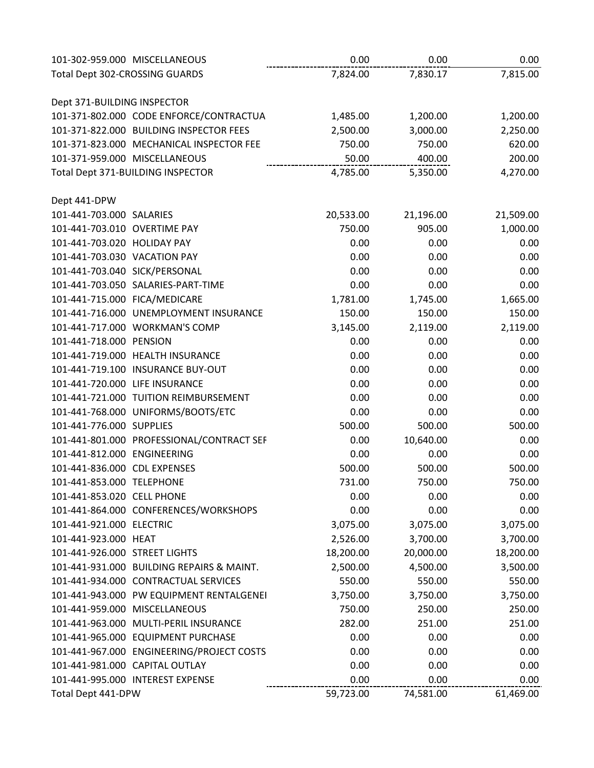|                                | 101-302-959.000 MISCELLANEOUS             | 0.00      | 0.00      | 0.00      |
|--------------------------------|-------------------------------------------|-----------|-----------|-----------|
| Total Dept 302-CROSSING GUARDS |                                           | 7,824.00  | 7,830.17  | 7,815.00  |
|                                |                                           |           |           |           |
| Dept 371-BUILDING INSPECTOR    |                                           |           |           |           |
|                                | 101-371-802.000 CODE ENFORCE/CONTRACTUA   | 1,485.00  | 1,200.00  | 1,200.00  |
|                                | 101-371-822.000 BUILDING INSPECTOR FEES   | 2,500.00  | 3,000.00  | 2,250.00  |
|                                | 101-371-823.000 MECHANICAL INSPECTOR FEE  | 750.00    | 750.00    | 620.00    |
|                                | 101-371-959.000 MISCELLANEOUS             | 50.00     | 400.00    | 200.00    |
|                                | Total Dept 371-BUILDING INSPECTOR         | 4,785.00  | 5,350.00  | 4,270.00  |
|                                |                                           |           |           |           |
| Dept 441-DPW                   |                                           |           |           |           |
| 101-441-703.000 SALARIES       |                                           | 20,533.00 | 21,196.00 | 21,509.00 |
| 101-441-703.010 OVERTIME PAY   |                                           | 750.00    | 905.00    | 1,000.00  |
| 101-441-703.020 HOLIDAY PAY    |                                           | 0.00      | 0.00      | 0.00      |
| 101-441-703.030 VACATION PAY   |                                           | 0.00      | 0.00      | 0.00      |
| 101-441-703.040 SICK/PERSONAL  |                                           | 0.00      | 0.00      | 0.00      |
|                                | 101-441-703.050 SALARIES-PART-TIME        | 0.00      | 0.00      | 0.00      |
| 101-441-715.000 FICA/MEDICARE  |                                           | 1,781.00  | 1,745.00  | 1,665.00  |
|                                | 101-441-716.000 UNEMPLOYMENT INSURANCE    | 150.00    | 150.00    | 150.00    |
|                                | 101-441-717.000 WORKMAN'S COMP            | 3,145.00  | 2,119.00  | 2,119.00  |
| 101-441-718.000 PENSION        |                                           | 0.00      | 0.00      | 0.00      |
|                                | 101-441-719.000 HEALTH INSURANCE          | 0.00      | 0.00      | 0.00      |
|                                | 101-441-719.100 INSURANCE BUY-OUT         | 0.00      | 0.00      | 0.00      |
| 101-441-720.000 LIFE INSURANCE |                                           | 0.00      | 0.00      | 0.00      |
|                                | 101-441-721.000 TUITION REIMBURSEMENT     | 0.00      | 0.00      | 0.00      |
|                                | 101-441-768.000 UNIFORMS/BOOTS/ETC        | 0.00      | 0.00      | 0.00      |
| 101-441-776.000 SUPPLIES       |                                           | 500.00    | 500.00    | 500.00    |
|                                | 101-441-801.000 PROFESSIONAL/CONTRACT SEF | 0.00      | 10,640.00 | 0.00      |
| 101-441-812.000 ENGINEERING    |                                           | 0.00      | 0.00      | 0.00      |
| 101-441-836.000 CDL EXPENSES   |                                           | 500.00    | 500.00    | 500.00    |
| 101-441-853.000 TELEPHONE      |                                           | 731.00    | 750.00    | 750.00    |
| 101-441-853.020 CELL PHONE     |                                           | 0.00      | 0.00      | 0.00      |
|                                | 101-441-864.000 CONFERENCES/WORKSHOPS     | 0.00      | 0.00      | 0.00      |
| 101-441-921.000 ELECTRIC       |                                           | 3,075.00  | 3,075.00  | 3,075.00  |
| 101-441-923.000 HEAT           |                                           | 2,526.00  | 3,700.00  | 3,700.00  |
| 101-441-926.000 STREET LIGHTS  |                                           | 18,200.00 | 20,000.00 | 18,200.00 |
|                                | 101-441-931.000 BUILDING REPAIRS & MAINT. | 2,500.00  | 4,500.00  | 3,500.00  |
|                                | 101-441-934.000 CONTRACTUAL SERVICES      | 550.00    | 550.00    | 550.00    |
|                                | 101-441-943.000 PW EQUIPMENT RENTALGENEI  | 3,750.00  | 3,750.00  | 3,750.00  |
|                                | 101-441-959.000 MISCELLANEOUS             | 750.00    | 250.00    | 250.00    |
|                                | 101-441-963.000 MULTI-PERIL INSURANCE     | 282.00    | 251.00    | 251.00    |
|                                | 101-441-965.000 EQUIPMENT PURCHASE        | 0.00      | 0.00      | 0.00      |
|                                | 101-441-967.000 ENGINEERING/PROJECT COSTS | 0.00      | 0.00      | 0.00      |
|                                | 101-441-981.000 CAPITAL OUTLAY            | 0.00      | 0.00      | 0.00      |
|                                | 101-441-995.000 INTEREST EXPENSE          | 0.00      | 0.00      | 0.00      |
| Total Dept 441-DPW             |                                           | 59,723.00 | 74,581.00 | 61,469.00 |
|                                |                                           |           |           |           |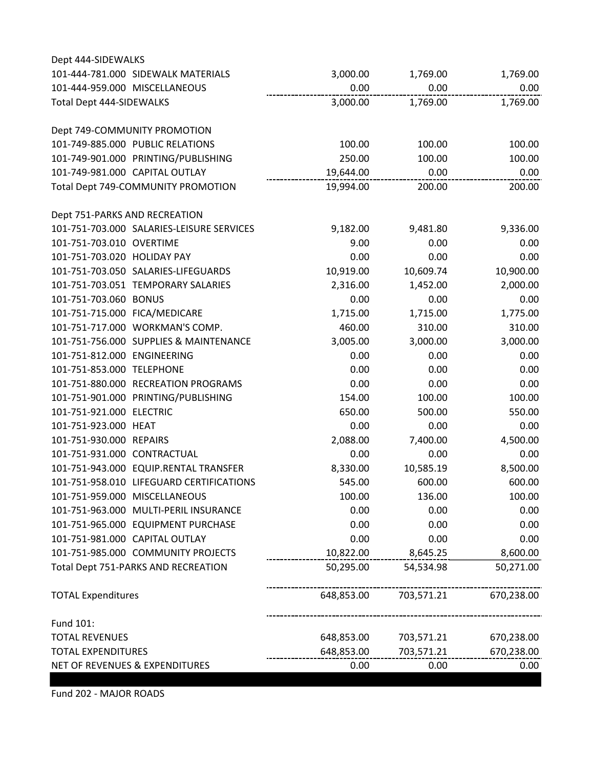| Dept 444-SIDEWALKS                        |            |            |            |
|-------------------------------------------|------------|------------|------------|
| 101-444-781.000 SIDEWALK MATERIALS        | 3,000.00   | 1,769.00   | 1,769.00   |
| 101-444-959.000 MISCELLANEOUS             | 0.00       | 0.00       | 0.00       |
| <b>Total Dept 444-SIDEWALKS</b>           | 3,000.00   | 1,769.00   | 1,769.00   |
| Dept 749-COMMUNITY PROMOTION              |            |            |            |
| 101-749-885.000 PUBLIC RELATIONS          | 100.00     | 100.00     | 100.00     |
| 101-749-901.000 PRINTING/PUBLISHING       | 250.00     | 100.00     | 100.00     |
| 101-749-981.000 CAPITAL OUTLAY            | 19,644.00  | 0.00       | 0.00       |
| Total Dept 749-COMMUNITY PROMOTION        | 19,994.00  | 200.00     | 200.00     |
| Dept 751-PARKS AND RECREATION             |            |            |            |
| 101-751-703.000 SALARIES-LEISURE SERVICES | 9,182.00   | 9,481.80   | 9,336.00   |
| 101-751-703.010 OVERTIME                  | 9.00       | 0.00       | 0.00       |
| 101-751-703.020 HOLIDAY PAY               | 0.00       | 0.00       | 0.00       |
| 101-751-703.050 SALARIES-LIFEGUARDS       | 10,919.00  | 10,609.74  | 10,900.00  |
| 101-751-703.051 TEMPORARY SALARIES        | 2,316.00   | 1,452.00   | 2,000.00   |
| 101-751-703.060 BONUS                     | 0.00       | 0.00       | 0.00       |
| 101-751-715.000 FICA/MEDICARE             | 1,715.00   | 1,715.00   | 1,775.00   |
| 101-751-717.000 WORKMAN'S COMP.           | 460.00     | 310.00     | 310.00     |
| 101-751-756.000 SUPPLIES & MAINTENANCE    | 3,005.00   | 3,000.00   | 3,000.00   |
| 101-751-812.000 ENGINEERING               | 0.00       | 0.00       | 0.00       |
| 101-751-853.000 TELEPHONE                 | 0.00       | 0.00       | 0.00       |
| 101-751-880.000 RECREATION PROGRAMS       | 0.00       | 0.00       | 0.00       |
| 101-751-901.000 PRINTING/PUBLISHING       | 154.00     | 100.00     | 100.00     |
| 101-751-921.000 ELECTRIC                  | 650.00     | 500.00     | 550.00     |
| 101-751-923.000 HEAT                      | 0.00       | 0.00       | 0.00       |
| 101-751-930.000 REPAIRS                   | 2,088.00   | 7,400.00   | 4,500.00   |
| 101-751-931.000 CONTRACTUAL               | 0.00       | 0.00       | 0.00       |
| 101-751-943.000 EQUIP.RENTAL TRANSFER     | 8,330.00   | 10,585.19  | 8,500.00   |
| 101-751-958.010 LIFEGUARD CERTIFICATIONS  | 545.00     | 600.00     | 600.00     |
| 101-751-959.000 MISCELLANEOUS             | 100.00     | 136.00     | 100.00     |
| 101-751-963.000 MULTI-PERIL INSURANCE     | 0.00       | 0.00       | 0.00       |
| 101-751-965.000 EQUIPMENT PURCHASE        | 0.00       | 0.00       | 0.00       |
| 101-751-981.000 CAPITAL OUTLAY            | 0.00       | 0.00       | 0.00       |
| 101-751-985.000 COMMUNITY PROJECTS        | 10,822.00  | 8,645.25   | 8,600.00   |
| Total Dept 751-PARKS AND RECREATION       | 50,295.00  | 54,534.98  | 50,271.00  |
| <b>TOTAL Expenditures</b>                 | 648,853.00 | 703,571.21 | 670,238.00 |
| Fund 101:                                 |            |            |            |
| <b>TOTAL REVENUES</b>                     | 648,853.00 | 703,571.21 | 670,238.00 |
| <b>TOTAL EXPENDITURES</b>                 | 648,853.00 | 703,571.21 | 670,238.00 |
| NET OF REVENUES & EXPENDITURES            | 0.00       | 0.00       | 0.00       |

Fund 202 - MAJOR ROADS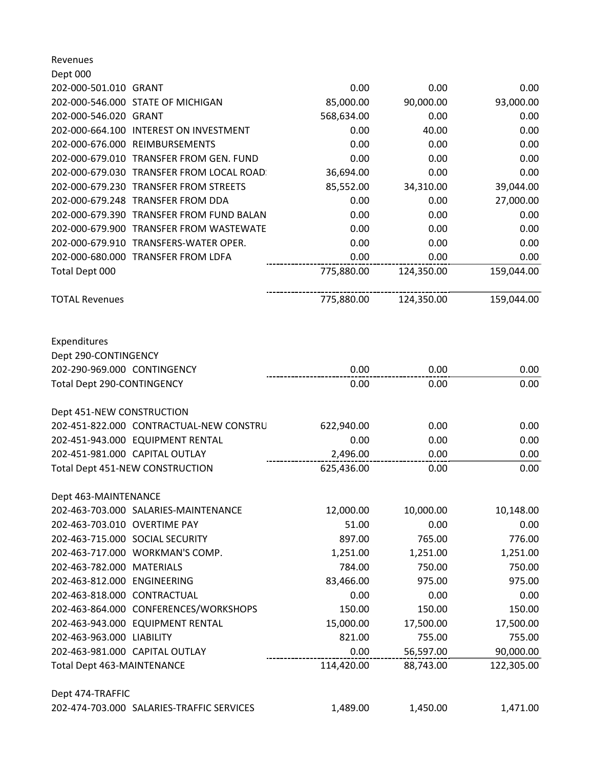| Revenues                                                            |            |            |            |
|---------------------------------------------------------------------|------------|------------|------------|
| Dept 000<br>202-000-501.010 GRANT                                   | 0.00       | 0.00       | 0.00       |
| 202-000-546.000 STATE OF MICHIGAN                                   | 85,000.00  | 90,000.00  | 93,000.00  |
| 202-000-546.020 GRANT                                               | 568,634.00 | 0.00       | 0.00       |
| 202-000-664.100 INTEREST ON INVESTMENT                              | 0.00       | 40.00      | 0.00       |
| 202-000-676.000 REIMBURSEMENTS                                      | 0.00       | 0.00       | 0.00       |
| 202-000-679.010 TRANSFER FROM GEN. FUND                             | 0.00       | 0.00       | 0.00       |
| 202-000-679.030 TRANSFER FROM LOCAL ROAD:                           | 36,694.00  | 0.00       | 0.00       |
| 202-000-679.230 TRANSFER FROM STREETS                               | 85,552.00  | 34,310.00  | 39,044.00  |
| 202-000-679.248 TRANSFER FROM DDA                                   | 0.00       | 0.00       | 27,000.00  |
| 202-000-679.390 TRANSFER FROM FUND BALAN                            | 0.00       | 0.00       | 0.00       |
| 202-000-679.900 TRANSFER FROM WASTEWATE                             | 0.00       | 0.00       | 0.00       |
| 202-000-679.910 TRANSFERS-WATER OPER.                               | 0.00       | 0.00       | 0.00       |
| 202-000-680.000 TRANSFER FROM LDFA                                  | 0.00       | 0.00       | 0.00       |
| Total Dept 000                                                      | 775,880.00 | 124,350.00 | 159,044.00 |
| <b>TOTAL Revenues</b>                                               | 775,880.00 | 124,350.00 | 159,044.00 |
| Expenditures<br>Dept 290-CONTINGENCY<br>202-290-969.000 CONTINGENCY | 0.00       | 0.00       | 0.00       |
| Total Dept 290-CONTINGENCY                                          | 0.00       | 0.00       | 0.00       |
|                                                                     |            |            |            |
| Dept 451-NEW CONSTRUCTION                                           |            |            |            |
| 202-451-822.000 CONTRACTUAL-NEW CONSTRU                             | 622,940.00 | 0.00       | 0.00       |
| 202-451-943.000 EQUIPMENT RENTAL                                    | 0.00       | 0.00       | 0.00       |
| 202-451-981.000 CAPITAL OUTLAY                                      | 2,496.00   | 0.00       | 0.00       |
| Total Dept 451-NEW CONSTRUCTION                                     | 625,436.00 | 0.00       | 0.00       |
| Dept 463-MAINTENANCE                                                |            |            |            |
| 202-463-703.000 SALARIES-MAINTENANCE                                | 12,000.00  | 10,000.00  | 10,148.00  |
| 202-463-703.010 OVERTIME PAY                                        | 51.00      | 0.00       | 0.00       |
| 202-463-715.000 SOCIAL SECURITY                                     | 897.00     | 765.00     | 776.00     |
| 202-463-717.000 WORKMAN'S COMP.                                     | 1,251.00   | 1,251.00   | 1,251.00   |
| 202-463-782.000 MATERIALS                                           | 784.00     | 750.00     | 750.00     |
| 202-463-812.000 ENGINEERING                                         | 83,466.00  | 975.00     | 975.00     |
| 202-463-818.000 CONTRACTUAL                                         | 0.00       | 0.00       | 0.00       |
| 202-463-864.000 CONFERENCES/WORKSHOPS                               | 150.00     | 150.00     | 150.00     |
| 202-463-943.000 EQUIPMENT RENTAL                                    | 15,000.00  | 17,500.00  | 17,500.00  |
| 202-463-963.000 LIABILITY                                           | 821.00     | 755.00     | 755.00     |
| 202-463-981.000 CAPITAL OUTLAY                                      | 0.00       | 56,597.00  | 90,000.00  |
| <b>Total Dept 463-MAINTENANCE</b>                                   | 114,420.00 | 88,743.00  | 122,305.00 |
| Dept 474-TRAFFIC                                                    |            |            |            |
| 202-474-703.000 SALARIES-TRAFFIC SERVICES                           | 1,489.00   | 1,450.00   | 1,471.00   |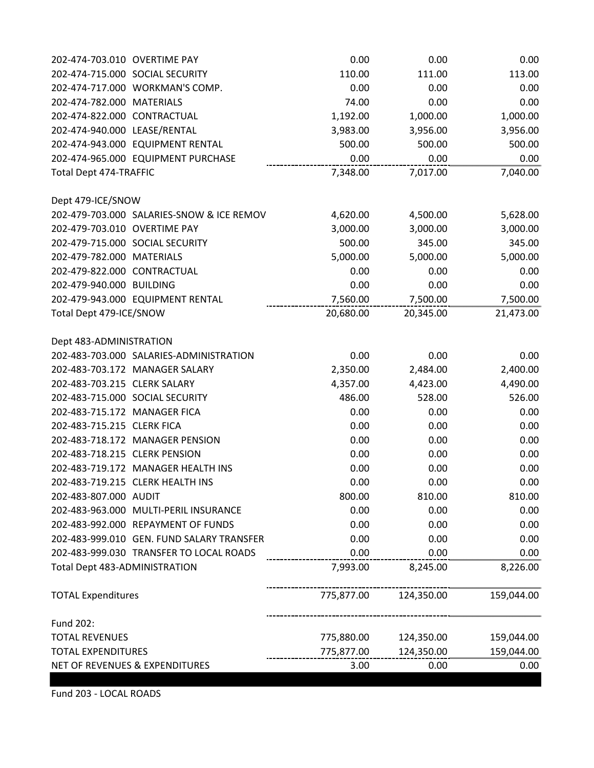| 202-474-703.010 OVERTIME PAY              | 0.00       | 0.00       | 0.00       |
|-------------------------------------------|------------|------------|------------|
| 202-474-715.000 SOCIAL SECURITY           | 110.00     | 111.00     | 113.00     |
| 202-474-717.000 WORKMAN'S COMP.           | 0.00       | 0.00       | 0.00       |
| 202-474-782.000 MATERIALS                 | 74.00      | 0.00       | 0.00       |
| 202-474-822.000 CONTRACTUAL               | 1,192.00   | 1,000.00   | 1,000.00   |
| 202-474-940.000 LEASE/RENTAL              | 3,983.00   | 3,956.00   | 3,956.00   |
| 202-474-943.000 EQUIPMENT RENTAL          | 500.00     | 500.00     | 500.00     |
| 202-474-965.000 EQUIPMENT PURCHASE        | 0.00       | 0.00       | 0.00       |
| Total Dept 474-TRAFFIC                    | 7,348.00   | 7,017.00   | 7,040.00   |
| Dept 479-ICE/SNOW                         |            |            |            |
| 202-479-703.000 SALARIES-SNOW & ICE REMOV | 4,620.00   | 4,500.00   | 5,628.00   |
| 202-479-703.010 OVERTIME PAY              | 3,000.00   | 3,000.00   | 3,000.00   |
| 202-479-715.000 SOCIAL SECURITY           | 500.00     | 345.00     | 345.00     |
| 202-479-782.000 MATERIALS                 | 5,000.00   | 5,000.00   | 5,000.00   |
| 202-479-822.000 CONTRACTUAL               | 0.00       | 0.00       | 0.00       |
| 202-479-940.000 BUILDING                  | 0.00       | 0.00       | 0.00       |
| 202-479-943.000 EQUIPMENT RENTAL          | 7,560.00   | 7,500.00   | 7,500.00   |
| Total Dept 479-ICE/SNOW                   | 20,680.00  | 20,345.00  | 21,473.00  |
| Dept 483-ADMINISTRATION                   |            |            |            |
| 202-483-703.000 SALARIES-ADMINISTRATION   | 0.00       | 0.00       | 0.00       |
| 202-483-703.172 MANAGER SALARY            | 2,350.00   | 2,484.00   | 2,400.00   |
| 202-483-703.215 CLERK SALARY              | 4,357.00   | 4,423.00   | 4,490.00   |
| 202-483-715.000 SOCIAL SECURITY           | 486.00     | 528.00     | 526.00     |
| 202-483-715.172 MANAGER FICA              | 0.00       | 0.00       | 0.00       |
| 202-483-715.215 CLERK FICA                | 0.00       | 0.00       | 0.00       |
| 202-483-718.172 MANAGER PENSION           | 0.00       | 0.00       | 0.00       |
| 202-483-718.215 CLERK PENSION             | 0.00       | 0.00       | 0.00       |
| 202-483-719.172 MANAGER HEALTH INS        | 0.00       | 0.00       | 0.00       |
| 202-483-719.215 CLERK HEALTH INS          | 0.00       | 0.00       | 0.00       |
| 202-483-807.000 AUDIT                     | 800.00     | 810.00     | 810.00     |
| 202-483-963.000 MULTI-PERIL INSURANCE     | 0.00       | 0.00       | 0.00       |
| 202-483-992.000 REPAYMENT OF FUNDS        | 0.00       | 0.00       | 0.00       |
| 202-483-999.010 GEN. FUND SALARY TRANSFER | 0.00       | 0.00       | 0.00       |
| 202-483-999.030 TRANSFER TO LOCAL ROADS   | 0.00       | 0.00       | 0.00       |
| Total Dept 483-ADMINISTRATION             | 7,993.00   | 8,245.00   | 8,226.00   |
| <b>TOTAL Expenditures</b>                 | 775,877.00 | 124,350.00 | 159,044.00 |
| Fund 202:                                 |            |            |            |
| <b>TOTAL REVENUES</b>                     | 775,880.00 | 124,350.00 | 159,044.00 |
| <b>TOTAL EXPENDITURES</b>                 | 775,877.00 | 124,350.00 | 159,044.00 |
| NET OF REVENUES & EXPENDITURES            | 3.00       | 0.00       | 0.00       |

Fund 203 - LOCAL ROADS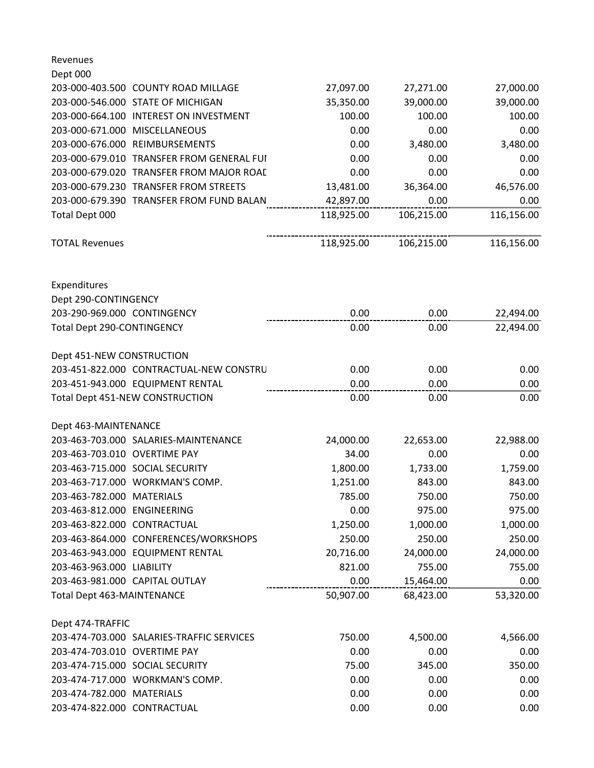| Revenues                                  |            |            |            |
|-------------------------------------------|------------|------------|------------|
| Dept 000                                  |            |            |            |
| 203-000-403.500 COUNTY ROAD MILLAGE       | 27,097.00  | 27,271.00  | 27,000.00  |
| 203-000-546.000 STATE OF MICHIGAN         | 35,350.00  | 39,000.00  | 39,000.00  |
| 203-000-664.100 INTEREST ON INVESTMENT    | 100.00     | 100.00     | 100.00     |
| 203-000-671.000 MISCELLANEOUS             | 0.00       | 0.00       | 0.00       |
| 203-000-676.000 REIMBURSEMENTS            | 0.00       | 3,480.00   | 3,480.00   |
| 203-000-679.010 TRANSFER FROM GENERAL FUI | 0.00       | 0.00       | 0.00       |
| 203-000-679.020 TRANSFER FROM MAJOR ROAD  | 0.00       | 0.00       | 0.00       |
| 203-000-679.230 TRANSFER FROM STREETS     | 13,481.00  | 36,364.00  | 46,576.00  |
| 203-000-679.390 TRANSFER FROM FUND BALAN  | 42,897.00  | 0.00       | 0.00       |
| Total Dept 000                            | 118,925.00 | 106,215.00 | 116,156.00 |
| <b>TOTAL Revenues</b>                     | 118,925.00 | 106,215.00 | 116,156.00 |
| Expenditures                              |            |            |            |
| Dept 290-CONTINGENCY                      |            |            |            |
| 203-290-969.000 CONTINGENCY               | 0.00       | 0.00       | 22,494.00  |
| Total Dept 290-CONTINGENCY                | 0.00       | 0.00       | 22,494.00  |
| Dept 451-NEW CONSTRUCTION                 |            |            |            |
| 203-451-822.000 CONTRACTUAL-NEW CONSTRU   | 0.00       | 0.00       | 0.00       |
| 203-451-943.000 EQUIPMENT RENTAL          | 0.00       | 0.00       | 0.00       |
| <b>Total Dept 451-NEW CONSTRUCTION</b>    | 0.00       | 0.00       | 0.00       |
| Dept 463-MAINTENANCE                      |            |            |            |
| 203-463-703.000 SALARIES-MAINTENANCE      | 24,000.00  | 22,653.00  | 22,988.00  |
| 203-463-703.010 OVERTIME PAY              | 34.00      | 0.00       | 0.00       |
| 203-463-715.000 SOCIAL SECURITY           | 1,800.00   | 1,733.00   | 1,759.00   |
| 203-463-717.000 WORKMAN'S COMP.           | 1,251.00   | 843.00     | 843.00     |
| 203-463-782.000 MATERIALS                 | 785.00     | 750.00     | 750.00     |
| 203-463-812.000 ENGINEERING               | 0.00       | 975.00     | 975.00     |
| 203-463-822.000 CONTRACTUAL               | 1,250.00   | 1,000.00   | 1,000.00   |
| 203-463-864.000 CONFERENCES/WORKSHOPS     | 250.00     | 250.00     | 250.00     |
| 203-463-943.000 EQUIPMENT RENTAL          | 20,716.00  | 24,000.00  | 24,000.00  |
| 203-463-963.000 LIABILITY                 | 821.00     | 755.00     | 755.00     |
| 203-463-981.000 CAPITAL OUTLAY            | 0.00       | 15,464.00  | 0.00       |
| <b>Total Dept 463-MAINTENANCE</b>         | 50,907.00  | 68,423.00  | 53,320.00  |
| Dept 474-TRAFFIC                          |            |            |            |
| 203-474-703.000 SALARIES-TRAFFIC SERVICES | 750.00     | 4,500.00   | 4,566.00   |
| 203-474-703.010 OVERTIME PAY              | 0.00       | 0.00       | 0.00       |
| 203-474-715.000 SOCIAL SECURITY           | 75.00      | 345.00     | 350.00     |
| 203-474-717.000 WORKMAN'S COMP.           | 0.00       | 0.00       | 0.00       |
| 203-474-782.000 MATERIALS                 | 0.00       | 0.00       | 0.00       |
| 203-474-822.000 CONTRACTUAL               | 0.00       | 0.00       | 0.00       |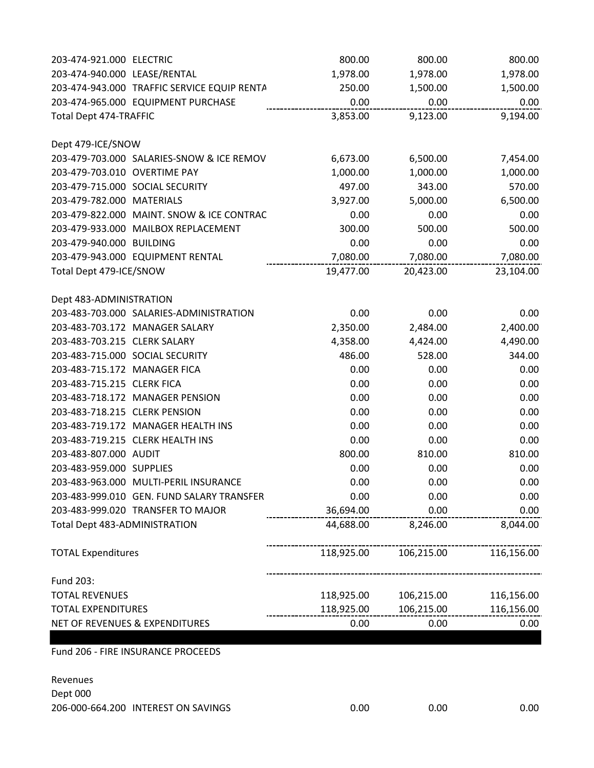| 203-474-921.000 ELECTRIC      |                                             | 800.00     | 800.00     | 800.00     |
|-------------------------------|---------------------------------------------|------------|------------|------------|
| 203-474-940.000 LEASE/RENTAL  |                                             | 1,978.00   | 1,978.00   | 1,978.00   |
|                               | 203-474-943.000 TRAFFIC SERVICE EQUIP RENTA | 250.00     | 1,500.00   | 1,500.00   |
|                               | 203-474-965.000 EQUIPMENT PURCHASE          | 0.00       | 0.00       | 0.00       |
| <b>Total Dept 474-TRAFFIC</b> |                                             | 3,853.00   | 9,123.00   | 9,194.00   |
| Dept 479-ICE/SNOW             |                                             |            |            |            |
|                               | 203-479-703.000 SALARIES-SNOW & ICE REMOV   | 6,673.00   | 6,500.00   | 7,454.00   |
| 203-479-703.010 OVERTIME PAY  |                                             | 1,000.00   | 1,000.00   | 1,000.00   |
|                               | 203-479-715.000 SOCIAL SECURITY             | 497.00     | 343.00     | 570.00     |
| 203-479-782.000 MATERIALS     |                                             | 3,927.00   | 5,000.00   | 6,500.00   |
|                               | 203-479-822.000 MAINT. SNOW & ICE CONTRAC   | 0.00       | 0.00       | 0.00       |
|                               | 203-479-933.000 MAILBOX REPLACEMENT         | 300.00     | 500.00     | 500.00     |
| 203-479-940.000 BUILDING      |                                             | 0.00       | 0.00       | 0.00       |
|                               | 203-479-943.000 EQUIPMENT RENTAL            | 7,080.00   | 7,080.00   | 7,080.00   |
| Total Dept 479-ICE/SNOW       |                                             | 19,477.00  | 20,423.00  | 23,104.00  |
| Dept 483-ADMINISTRATION       |                                             |            |            |            |
|                               | 203-483-703.000 SALARIES-ADMINISTRATION     | 0.00       | 0.00       | 0.00       |
|                               | 203-483-703.172 MANAGER SALARY              | 2,350.00   | 2,484.00   | 2,400.00   |
| 203-483-703.215 CLERK SALARY  |                                             | 4,358.00   | 4,424.00   | 4,490.00   |
|                               | 203-483-715.000 SOCIAL SECURITY             | 486.00     | 528.00     | 344.00     |
| 203-483-715.172 MANAGER FICA  |                                             | 0.00       | 0.00       | 0.00       |
| 203-483-715.215 CLERK FICA    |                                             | 0.00       | 0.00       | 0.00       |
|                               | 203-483-718.172 MANAGER PENSION             | 0.00       | 0.00       | 0.00       |
| 203-483-718.215 CLERK PENSION |                                             | 0.00       | 0.00       | 0.00       |
|                               | 203-483-719.172 MANAGER HEALTH INS          | 0.00       | 0.00       | 0.00       |
|                               | 203-483-719.215 CLERK HEALTH INS            | 0.00       | 0.00       | 0.00       |
| 203-483-807.000 AUDIT         |                                             | 800.00     | 810.00     | 810.00     |
| 203-483-959.000 SUPPLIES      |                                             | 0.00       | 0.00       | 0.00       |
|                               | 203-483-963.000 MULTI-PERIL INSURANCE       | 0.00       | 0.00       | 0.00       |
|                               | 203-483-999.010 GEN. FUND SALARY TRANSFER   | 0.00       | 0.00       | 0.00       |
|                               | 203-483-999.020 TRANSFER TO MAJOR           | 36,694.00  | 0.00       | 0.00       |
| Total Dept 483-ADMINISTRATION |                                             | 44,688.00  | 8,246.00   | 8,044.00   |
| <b>TOTAL Expenditures</b>     |                                             | 118,925.00 | 106,215.00 | 116,156.00 |
| Fund 203:                     |                                             |            |            |            |
| <b>TOTAL REVENUES</b>         |                                             | 118,925.00 | 106,215.00 | 116,156.00 |
| <b>TOTAL EXPENDITURES</b>     |                                             | 118,925.00 | 106,215.00 | 116,156.00 |
|                               | NET OF REVENUES & EXPENDITURES              | 0.00       | 0.00       | 0.00       |
|                               |                                             |            |            |            |

Fund 206 - FIRE INSURANCE PROCEEDS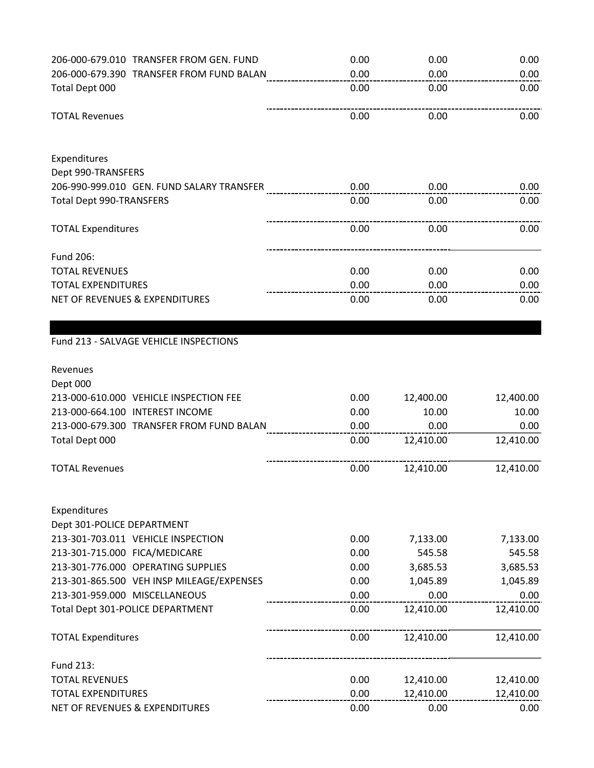| 206-000-679.010 TRANSFER FROM GEN. FUND            | 0.00 | 0.00      | 0.00      |
|----------------------------------------------------|------|-----------|-----------|
| 206-000-679.390 TRANSFER FROM FUND BALAN           | 0.00 | 0.00      | 0.00      |
| Total Dept 000                                     | 0.00 | 0.00      | 0.00      |
| <b>TOTAL Revenues</b>                              | 0.00 | 0.00      | 0.00      |
| Expenditures                                       |      |           |           |
| Dept 990-TRANSFERS                                 |      |           |           |
| 206-990-999.010 GEN. FUND SALARY TRANSFER          | 0.00 | 0.00      | 0.00      |
| <b>Total Dept 990-TRANSFERS</b>                    | 0.00 | 0.00      | 0.00      |
| <b>TOTAL Expenditures</b>                          | 0.00 | 0.00      | 0.00      |
| Fund 206:                                          |      |           |           |
| <b>TOTAL REVENUES</b>                              | 0.00 | 0.00      | 0.00      |
| <b>TOTAL EXPENDITURES</b>                          | 0.00 | 0.00      | 0.00      |
| <b>NET OF REVENUES &amp; EXPENDITURES</b>          | 0.00 | 0.00      | 0.00      |
| Fund 213 - SALVAGE VEHICLE INSPECTIONS             |      |           |           |
| Revenues                                           |      |           |           |
| Dept 000<br>213-000-610.000 VEHICLE INSPECTION FEE | 0.00 | 12,400.00 | 12,400.00 |
| 213-000-664.100 INTEREST INCOME                    | 0.00 | 10.00     | 10.00     |
| 213-000-679.300 TRANSFER FROM FUND BALAN           | 0.00 | 0.00      | 0.00      |
| Total Dept 000                                     | 0.00 | 12,410.00 | 12,410.00 |
| <b>TOTAL Revenues</b>                              | 0.00 | 12,410.00 | 12,410.00 |
| Expenditures<br>Dept 301-POLICE DEPARTMENT         |      |           |           |
| 213-301-703.011 VEHICLE INSPECTION                 | 0.00 | 7,133.00  | 7,133.00  |
| 213-301-715.000 FICA/MEDICARE                      | 0.00 | 545.58    | 545.58    |
| 213-301-776.000 OPERATING SUPPLIES                 | 0.00 | 3,685.53  | 3,685.53  |
| 213-301-865.500 VEH INSP MILEAGE/EXPENSES          | 0.00 | 1,045.89  | 1,045.89  |
| 213-301-959.000 MISCELLANEOUS                      | 0.00 | 0.00      | 0.00      |
| Total Dept 301-POLICE DEPARTMENT                   | 0.00 | 12,410.00 | 12,410.00 |
| <b>TOTAL Expenditures</b>                          | 0.00 | 12,410.00 | 12,410.00 |
| Fund 213:                                          |      |           |           |
| <b>TOTAL REVENUES</b>                              | 0.00 | 12,410.00 | 12,410.00 |
| <b>TOTAL EXPENDITURES</b>                          | 0.00 | 12,410.00 | 12,410.00 |
| NET OF REVENUES & EXPENDITURES                     | 0.00 | 0.00      | 0.00      |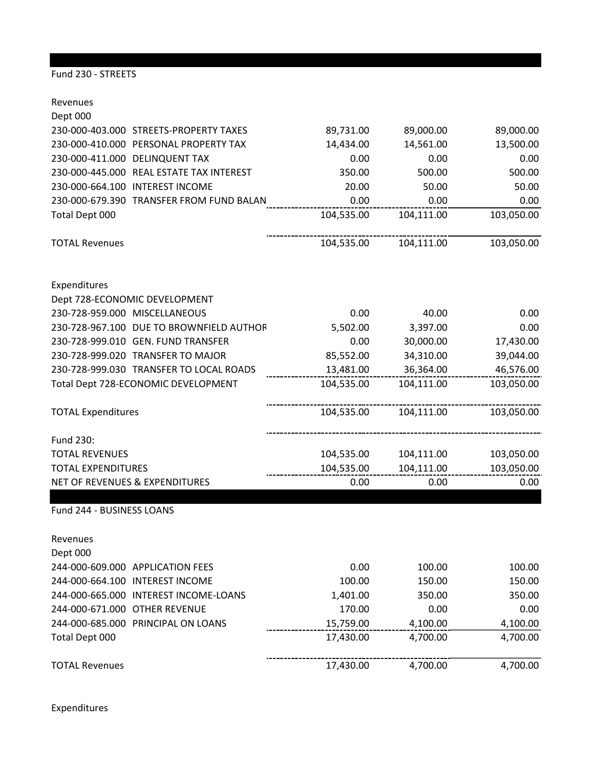## Fund 230 - STREETS

Revenues Dept 000 230-000-403.000 STREETS-PROPERTY TAXES 89,731.00 89,000.00 89,000.00 230-000-410.000 PERSONAL PROPERTY TAX 14,434.00 14,561.00 13,500.00 230-000-411.000 DELINQUENT TAX 0.00 0.00 0.00 230-000-445.000 REAL ESTATE TAX INTEREST 350.00 500.00 500.00 230-000-664.100 INTEREST INCOME 20.00 50.00 50.00 230-000-679.390 TRANSFER FROM FUND BALANCE 0.00 0.00 0.00 Total Dept 000 104,535.00 104,111.00 103,050.00 TOTAL Revenues 104,535.00 104,111.00 103,050.00 Expenditures Dept 728-ECONOMIC DEVELOPMENT 230-728-959.000 MISCELLANEOUS 0.00 40.00 0.00 230-728-967.100 DUE TO BROWNFIELD AUTHORITY 5,502.00 3,397.00 0.00 230-728-999.010 GEN. FUND TRANSFER 0.00 30,000.00 17,430.00 230-728-999.020 TRANSFER TO MAJOR 85,552.00 34,310.00 39,044.00 230-728-999.030 TRANSFER TO LOCAL ROADS 13,481.00 36,364.00 46,576.00 Total Dept 728-ECONOMIC DEVELOPMENT 104,535.00 104,111.00 103,050.00 TOTAL Expenditures 104,535.00 104,111.00 103,050.00 Fund 230: TOTAL REVENUES 104,535.00 104,111.00 103,050.00 TOTAL EXPENDITURES 104,535.00 104,111.00 103,050.00 NET OF REVENUES & EXPENDITURES  $\begin{array}{ccc} 0.00 & 0.00 & 0.00 \end{array}$  0.00 Fund 244 - BUSINESS LOANS Revenues Dept 000 244-000-609.000 APPLICATION FEES 0.00 100.00 100.00 244-000-664.100 INTEREST INCOME 100.00 150.00 150.00 244-000-665.000 INTEREST INCOME-LOANS 1,401.00 350.00 350.00

244-000-671.000 OTHER REVENUE 170.00 0.00 0.00 0.00 0.00<br>244-000-685.000 PRINCIPAL ON LOANS 115,759.00 4,100.00 4,100.00 4,100.00 244-000-685.000 PRINCIPAL ON LOANS 15,759.00 4,100.00 4,100.00 Total Dept 000 17,430.00 4,700.00 4,700.00 TOTAL Revenues 17,430.00 4,700.00 4,700.00

Expenditures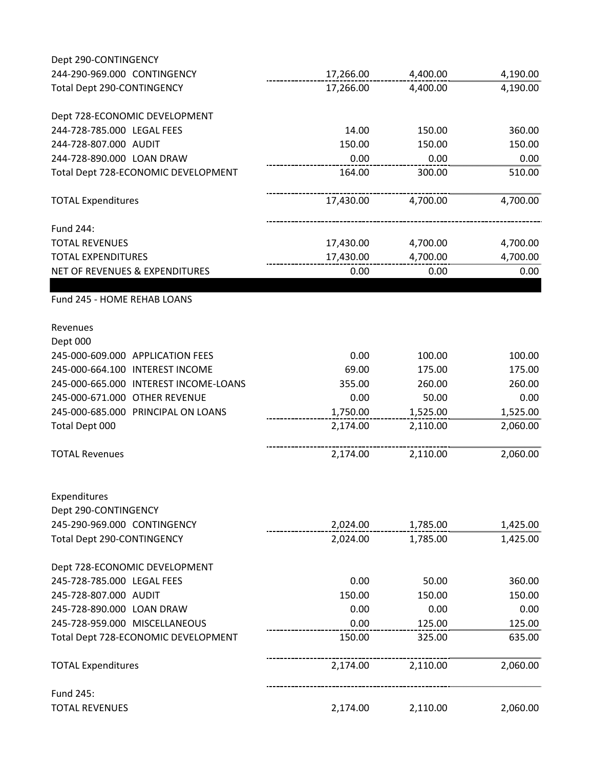| Dept 290-CONTINGENCY                  |           |          |          |
|---------------------------------------|-----------|----------|----------|
| 244-290-969.000 CONTINGENCY           | 17,266.00 | 4,400.00 | 4,190.00 |
| <b>Total Dept 290-CONTINGENCY</b>     | 17,266.00 | 4,400.00 | 4,190.00 |
| Dept 728-ECONOMIC DEVELOPMENT         |           |          |          |
| 244-728-785.000 LEGAL FEES            | 14.00     | 150.00   | 360.00   |
| 244-728-807.000 AUDIT                 | 150.00    | 150.00   | 150.00   |
| 244-728-890.000 LOAN DRAW             | 0.00      | 0.00     | 0.00     |
| Total Dept 728-ECONOMIC DEVELOPMENT   | 164.00    | 300.00   | 510.00   |
| <b>TOTAL Expenditures</b>             | 17,430.00 | 4,700.00 | 4,700.00 |
| Fund 244:                             |           |          |          |
| <b>TOTAL REVENUES</b>                 | 17,430.00 | 4,700.00 | 4,700.00 |
| <b>TOTAL EXPENDITURES</b>             | 17,430.00 | 4,700.00 | 4,700.00 |
| NET OF REVENUES & EXPENDITURES        | 0.00      | 0.00     | 0.00     |
| Fund 245 - HOME REHAB LOANS           |           |          |          |
| Revenues                              |           |          |          |
| Dept 000                              |           |          |          |
| 245-000-609.000 APPLICATION FEES      | 0.00      | 100.00   | 100.00   |
| 245-000-664.100 INTEREST INCOME       | 69.00     | 175.00   | 175.00   |
| 245-000-665.000 INTEREST INCOME-LOANS | 355.00    | 260.00   | 260.00   |
| 245-000-671.000 OTHER REVENUE         | 0.00      | 50.00    | 0.00     |
| 245-000-685.000 PRINCIPAL ON LOANS    | 1,750.00  | 1,525.00 | 1,525.00 |
| Total Dept 000                        | 2,174.00  | 2,110.00 | 2,060.00 |
| <b>TOTAL Revenues</b>                 | 2,174.00  | 2,110.00 | 2,060.00 |
| Expenditures                          |           |          |          |
| Dept 290-CONTINGENCY                  |           |          |          |
| 245-290-969.000 CONTINGENCY           | 2,024.00  | 1,785.00 | 1,425.00 |
| Total Dept 290-CONTINGENCY            | 2,024.00  | 1,785.00 | 1,425.00 |
| Dept 728-ECONOMIC DEVELOPMENT         |           |          |          |
| 245-728-785.000 LEGAL FEES            | 0.00      | 50.00    | 360.00   |
| 245-728-807.000 AUDIT                 | 150.00    | 150.00   | 150.00   |
| 245-728-890.000 LOAN DRAW             | 0.00      | 0.00     | 0.00     |
| 245-728-959.000 MISCELLANEOUS         | 0.00      | 125.00   | 125.00   |
| Total Dept 728-ECONOMIC DEVELOPMENT   | 150.00    | 325.00   | 635.00   |
| <b>TOTAL Expenditures</b>             | 2,174.00  | 2,110.00 | 2,060.00 |
| Fund 245:                             |           |          |          |
| <b>TOTAL REVENUES</b>                 | 2,174.00  | 2,110.00 | 2,060.00 |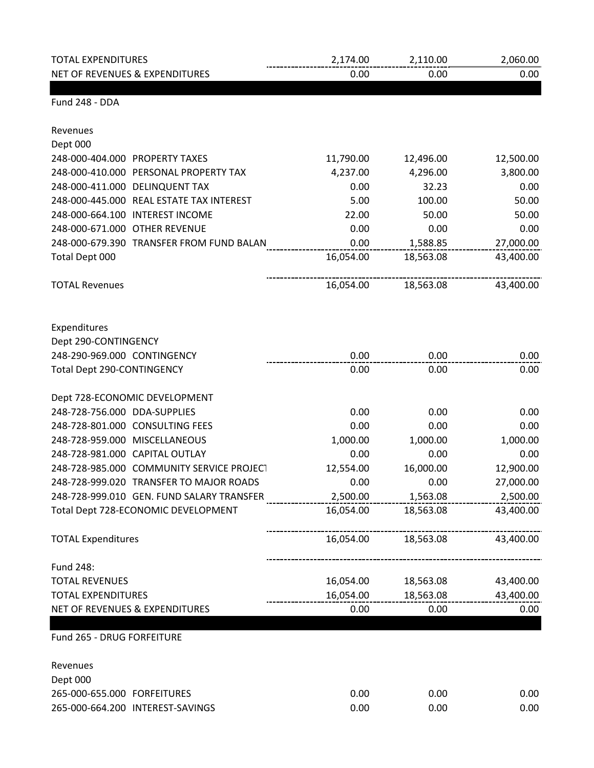| <b>TOTAL EXPENDITURES</b>                 | 2,174.00  | 2,110.00  | 2,060.00  |
|-------------------------------------------|-----------|-----------|-----------|
| NET OF REVENUES & EXPENDITURES            | 0.00      | 0.00      | 0.00      |
| Fund 248 - DDA                            |           |           |           |
| Revenues                                  |           |           |           |
| Dept 000                                  |           |           |           |
| 248-000-404.000 PROPERTY TAXES            | 11,790.00 | 12,496.00 | 12,500.00 |
| 248-000-410.000 PERSONAL PROPERTY TAX     | 4,237.00  | 4,296.00  | 3,800.00  |
| 248-000-411.000 DELINQUENT TAX            | 0.00      | 32.23     | 0.00      |
| 248-000-445.000 REAL ESTATE TAX INTEREST  | 5.00      | 100.00    | 50.00     |
| 248-000-664.100 INTEREST INCOME           | 22.00     | 50.00     | 50.00     |
| 248-000-671.000 OTHER REVENUE             | 0.00      | 0.00      | 0.00      |
| 248-000-679.390 TRANSFER FROM FUND BALAN  | 0.00      | 1,588.85  | 27,000.00 |
| Total Dept 000                            | 16,054.00 | 18,563.08 | 43,400.00 |
| <b>TOTAL Revenues</b>                     | 16,054.00 | 18,563.08 | 43,400.00 |
| Expenditures                              |           |           |           |
| Dept 290-CONTINGENCY                      |           |           |           |
| 248-290-969.000 CONTINGENCY               | 0.00      | 0.00      | 0.00      |
| Total Dept 290-CONTINGENCY                | 0.00      | 0.00      | 0.00      |
| Dept 728-ECONOMIC DEVELOPMENT             |           |           |           |
| 248-728-756.000 DDA-SUPPLIES              | 0.00      | 0.00      | 0.00      |
| 248-728-801.000 CONSULTING FEES           | 0.00      | 0.00      | 0.00      |
| 248-728-959.000 MISCELLANEOUS             | 1,000.00  | 1,000.00  | 1,000.00  |
| 248-728-981.000 CAPITAL OUTLAY            | 0.00      | 0.00      | 0.00      |
| 248-728-985.000 COMMUNITY SERVICE PROJECT | 12,554.00 | 16,000.00 | 12,900.00 |
| 248-728-999.020 TRANSFER TO MAJOR ROADS   | 0.00      | 0.00      | 27,000.00 |
| 248-728-999.010 GEN. FUND SALARY TRANSFER | 2,500.00  | 1,563.08  | 2,500.00  |
| Total Dept 728-ECONOMIC DEVELOPMENT       | 16,054.00 | 18,563.08 | 43,400.00 |
| <b>TOTAL Expenditures</b>                 | 16,054.00 | 18,563.08 | 43,400.00 |
| Fund 248:                                 |           |           |           |
| <b>TOTAL REVENUES</b>                     | 16,054.00 | 18,563.08 | 43,400.00 |
| <b>TOTAL EXPENDITURES</b>                 | 16,054.00 | 18,563.08 | 43,400.00 |
| NET OF REVENUES & EXPENDITURES            | 0.00      | 0.00      | 0.00      |
| Fund 265 - DRUG FORFEITURE                |           |           |           |
| Revenues                                  |           |           |           |
| Dept 000                                  |           |           |           |
| 265-000-655.000 FORFEITURES               | 0.00      | 0.00      | 0.00      |
| 265-000-664.200 INTEREST-SAVINGS          | 0.00      | 0.00      | 0.00      |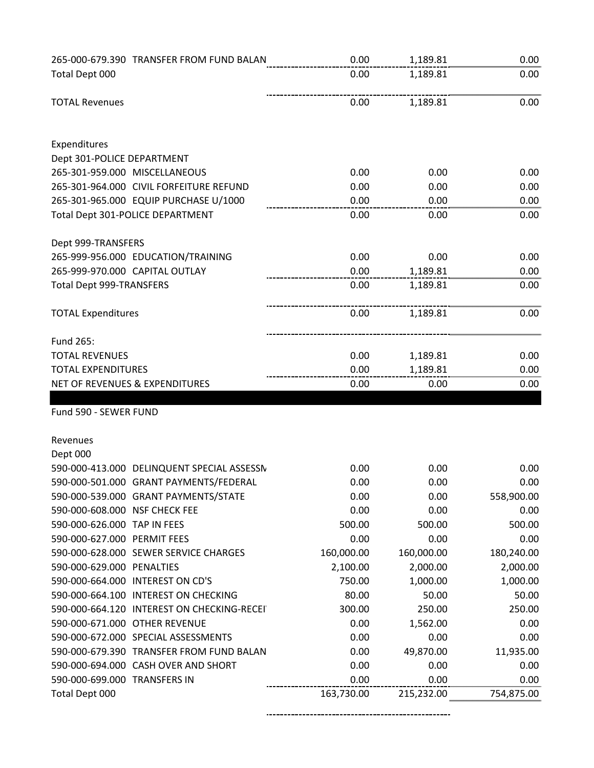|                                 | 265-000-679.390 TRANSFER FROM FUND BALAN    | 0.00       | 1,189.81   | 0.00       |
|---------------------------------|---------------------------------------------|------------|------------|------------|
| Total Dept 000                  |                                             | 0.00       | 1,189.81   | 0.00       |
| <b>TOTAL Revenues</b>           |                                             | 0.00       | 1,189.81   | 0.00       |
| Expenditures                    |                                             |            |            |            |
| Dept 301-POLICE DEPARTMENT      |                                             |            |            |            |
|                                 | 265-301-959.000 MISCELLANEOUS               | 0.00       | 0.00       | 0.00       |
|                                 | 265-301-964.000 CIVIL FORFEITURE REFUND     | 0.00       | 0.00       | 0.00       |
|                                 | 265-301-965.000 EQUIP PURCHASE U/1000       | 0.00       | 0.00       | 0.00       |
|                                 | Total Dept 301-POLICE DEPARTMENT            | 0.00       | 0.00       | 0.00       |
| Dept 999-TRANSFERS              |                                             |            |            |            |
|                                 | 265-999-956.000 EDUCATION/TRAINING          | 0.00       | 0.00       | 0.00       |
|                                 | 265-999-970.000 CAPITAL OUTLAY              | 0.00       | 1,189.81   | 0.00       |
| <b>Total Dept 999-TRANSFERS</b> |                                             | 0.00       | 1,189.81   | 0.00       |
| <b>TOTAL Expenditures</b>       |                                             | 0.00       | 1,189.81   | 0.00       |
| Fund 265:                       |                                             |            |            |            |
| <b>TOTAL REVENUES</b>           |                                             | 0.00       | 1,189.81   | 0.00       |
| <b>TOTAL EXPENDITURES</b>       |                                             | 0.00       | 1,189.81   | 0.00       |
|                                 | NET OF REVENUES & EXPENDITURES              | 0.00       | 0.00       | 0.00       |
| Fund 590 - SEWER FUND           |                                             |            |            |            |
|                                 |                                             |            |            |            |
| Revenues                        |                                             |            |            |            |
| Dept 000                        |                                             |            |            |            |
|                                 | 590-000-413.000 DELINQUENT SPECIAL ASSESSN  | 0.00       | 0.00       | 0.00       |
|                                 | 590-000-501.000 GRANT PAYMENTS/FEDERAL      | 0.00       | 0.00       | 0.00       |
|                                 | 590-000-539.000 GRANT PAYMENTS/STATE        | 0.00       | 0.00       | 558,900.00 |
| 590-000-608.000 NSF CHECK FEE   |                                             | 0.00       | 0.00       | 0.00       |
| 590-000-626.000 TAP IN FEES     |                                             | 500.00     | 500.00     | 500.00     |
| 590-000-627.000 PERMIT FEES     |                                             | 0.00       | 0.00       | 0.00       |
|                                 | 590-000-628.000 SEWER SERVICE CHARGES       | 160,000.00 | 160,000.00 | 180,240.00 |
| 590-000-629.000 PENALTIES       |                                             | 2,100.00   | 2,000.00   | 2,000.00   |
|                                 | 590-000-664.000 INTEREST ON CD'S            | 750.00     | 1,000.00   | 1,000.00   |
|                                 | 590-000-664.100 INTEREST ON CHECKING        | 80.00      | 50.00      | 50.00      |
|                                 | 590-000-664.120 INTEREST ON CHECKING-RECEIT | 300.00     | 250.00     | 250.00     |
|                                 | 590-000-671.000 OTHER REVENUE               | 0.00       | 1,562.00   | 0.00       |
|                                 | 590-000-672.000 SPECIAL ASSESSMENTS         | 0.00       | 0.00       | 0.00       |
|                                 | 590-000-679.390 TRANSFER FROM FUND BALAN    | 0.00       | 49,870.00  | 11,935.00  |
|                                 | 590-000-694.000 CASH OVER AND SHORT         | 0.00       | 0.00       | 0.00       |
| 590-000-699.000 TRANSFERS IN    |                                             | 0.00       | 0.00       | 0.00       |
| Total Dept 000                  |                                             | 163,730.00 | 215,232.00 | 754,875.00 |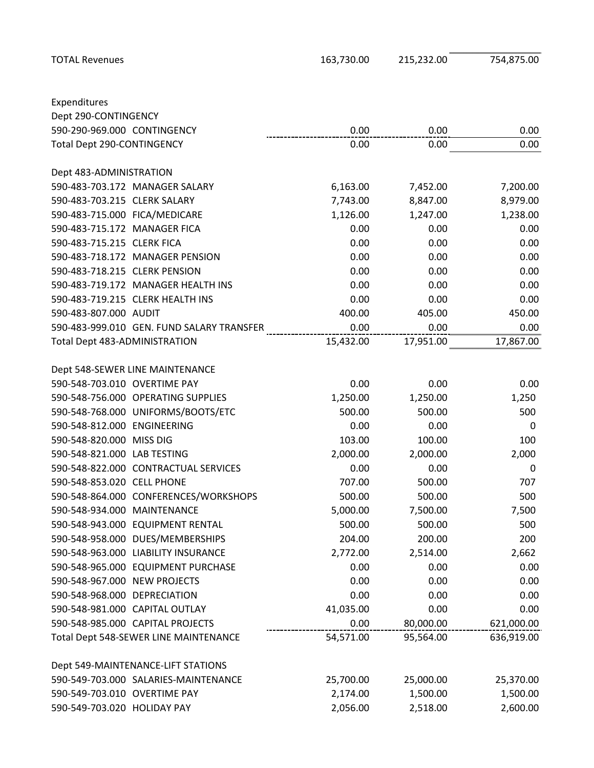Expenditures

Dept 290-CONTINGENCY

Dept 483-ADMINISTRATION

TOTAL Revenues 163,730.00 215,232.00 754,875.00

590-290-969.000 CONTINGENCY 0.00 0.00 0.00 Total Dept 290-CONTINGENCY and the control of the control of the control of the control of the control of the control of the control of the control of the control of the control of the control of the control of the control 590-483-703.172 MANAGER SALARY 6,163.00 7,452.00 7,200.00 590-483-703.215 CLERK SALARY 7,743.00 8,847.00 8,979.00 590-483-715.000 FICA/MEDICARE 1,126.00 1,247.00 1,238.00 590-483-715.172 MANAGER FICA 0.00 0.00 0.00 590-483-715.215 CLERK FICA 0.00 0.00 0.00 590-483-718.172 MANAGER PENSION 0.00 0.00 0.00 590-483-718.215 CLERK PENSION 0.00 0.00 0.00 590-483-719.172 MANAGER HEALTH INS 0.00 0.00 0.00 590-483-719.215 CLERK HEALTH INS 0.00 0.00 0.00 590-483-807.000 AUDIT 400.00 405.00 450.00 590-483-999.010 GEN. FUND SALARY TRANSFER 0.00 0.00 0.00 Total Dept 483-ADMINISTRATION 15,432.00 17,951.00 17,867.00

| Dept 548-SEWER LINE MAINTENANCE       |           |           |            |
|---------------------------------------|-----------|-----------|------------|
| 590-548-703.010 OVERTIME PAY          | 0.00      | 0.00      | 0.00       |
| 590-548-756.000 OPERATING SUPPLIES    | 1,250.00  | 1,250.00  | 1,250      |
| 590-548-768.000 UNIFORMS/BOOTS/ETC    | 500.00    | 500.00    | 500        |
| 590-548-812.000 ENGINEERING           | 0.00      | 0.00      | 0          |
| 590-548-820.000 MISS DIG              | 103.00    | 100.00    | 100        |
| 590-548-821.000 LAB TESTING           | 2,000.00  | 2,000.00  | 2,000      |
| 590-548-822.000 CONTRACTUAL SERVICES  | 0.00      | 0.00      | 0          |
| 590-548-853.020 CELL PHONE            | 707.00    | 500.00    | 707        |
| 590-548-864.000 CONFERENCES/WORKSHOPS | 500.00    | 500.00    | 500        |
| 590-548-934.000 MAINTENANCE           | 5,000.00  | 7,500.00  | 7,500      |
| 590-548-943.000 EQUIPMENT RENTAL      | 500.00    | 500.00    | 500        |
| 590-548-958.000 DUES/MEMBERSHIPS      | 204.00    | 200.00    | 200        |
| 590-548-963.000 LIABILITY INSURANCE   | 2,772.00  | 2,514.00  | 2,662      |
| 590-548-965.000 EQUIPMENT PURCHASE    | 0.00      | 0.00      | 0.00       |
| 590-548-967.000 NEW PROJECTS          | 0.00      | 0.00      | 0.00       |
| 590-548-968.000 DEPRECIATION          | 0.00      | 0.00      | 0.00       |
| 590-548-981.000 CAPITAL OUTLAY        | 41,035.00 | 0.00      | 0.00       |
| 590-548-985.000 CAPITAL PROJECTS      | 0.00      | 80,000.00 | 621,000.00 |
| Total Dept 548-SEWER LINE MAINTENANCE | 54,571.00 | 95,564.00 | 636,919.00 |
|                                       |           |           |            |
| Dept 549-MAINTENANCE-LIFT STATIONS    |           |           |            |
| 590-549-703.000 SALARIES-MAINTENANCE  | 25,700.00 | 25,000.00 | 25,370.00  |
| 590-549-703.010 OVERTIME PAY          | 2,174.00  | 1,500.00  | 1,500.00   |
| 590-549-703.020 HOLIDAY PAY           | 2,056.00  | 2,518.00  | 2,600.00   |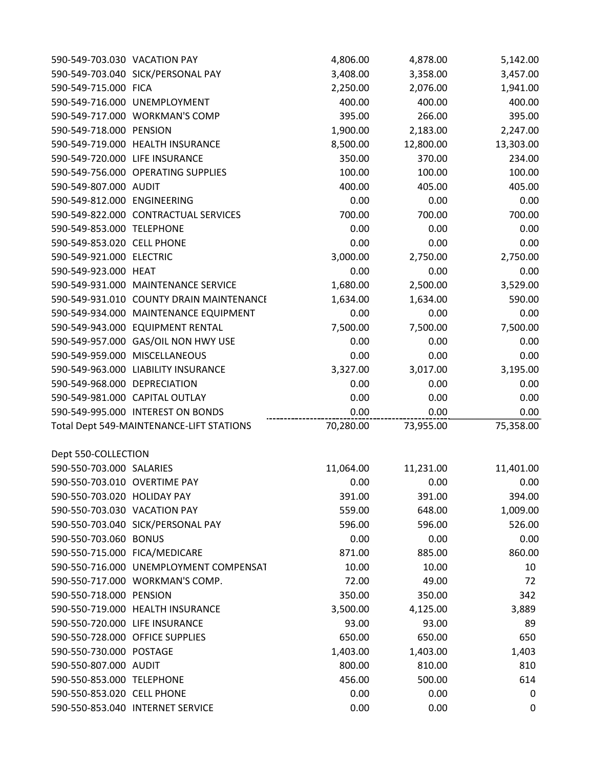| 590-549-703.030 VACATION PAY   |                                          | 4,806.00  | 4,878.00  | 5,142.00  |
|--------------------------------|------------------------------------------|-----------|-----------|-----------|
|                                | 590-549-703.040 SICK/PERSONAL PAY        | 3,408.00  | 3,358.00  | 3,457.00  |
| 590-549-715.000 FICA           |                                          | 2,250.00  | 2,076.00  | 1,941.00  |
|                                | 590-549-716.000 UNEMPLOYMENT             | 400.00    | 400.00    | 400.00    |
|                                | 590-549-717.000 WORKMAN'S COMP           | 395.00    | 266.00    | 395.00    |
| 590-549-718.000 PENSION        |                                          | 1,900.00  | 2,183.00  | 2,247.00  |
|                                | 590-549-719.000 HEALTH INSURANCE         | 8,500.00  | 12,800.00 | 13,303.00 |
| 590-549-720.000 LIFE INSURANCE |                                          | 350.00    | 370.00    | 234.00    |
|                                | 590-549-756.000 OPERATING SUPPLIES       | 100.00    | 100.00    | 100.00    |
| 590-549-807.000 AUDIT          |                                          | 400.00    | 405.00    | 405.00    |
| 590-549-812.000 ENGINEERING    |                                          | 0.00      | 0.00      | 0.00      |
|                                | 590-549-822.000 CONTRACTUAL SERVICES     | 700.00    | 700.00    | 700.00    |
| 590-549-853.000 TELEPHONE      |                                          | 0.00      | 0.00      | 0.00      |
| 590-549-853.020 CELL PHONE     |                                          | 0.00      | 0.00      | 0.00      |
| 590-549-921.000 ELECTRIC       |                                          | 3,000.00  | 2,750.00  | 2,750.00  |
| 590-549-923.000 HEAT           |                                          | 0.00      | 0.00      | 0.00      |
|                                | 590-549-931.000 MAINTENANCE SERVICE      | 1,680.00  | 2,500.00  | 3,529.00  |
|                                | 590-549-931.010 COUNTY DRAIN MAINTENANCE | 1,634.00  | 1,634.00  | 590.00    |
|                                | 590-549-934.000 MAINTENANCE EQUIPMENT    | 0.00      | 0.00      | 0.00      |
|                                | 590-549-943.000 EQUIPMENT RENTAL         | 7,500.00  | 7,500.00  | 7,500.00  |
|                                | 590-549-957.000 GAS/OIL NON HWY USE      | 0.00      | 0.00      | 0.00      |
|                                | 590-549-959.000 MISCELLANEOUS            | 0.00      | 0.00      | 0.00      |
|                                | 590-549-963.000 LIABILITY INSURANCE      | 3,327.00  | 3,017.00  | 3,195.00  |
| 590-549-968.000 DEPRECIATION   |                                          | 0.00      | 0.00      | 0.00      |
|                                | 590-549-981.000 CAPITAL OUTLAY           | 0.00      | 0.00      | 0.00      |
|                                | 590-549-995.000 INTEREST ON BONDS        | 0.00      | 0.00      | 0.00      |
|                                | Total Dept 549-MAINTENANCE-LIFT STATIONS | 70,280.00 | 73,955.00 | 75,358.00 |
|                                |                                          |           |           |           |
| Dept 550-COLLECTION            |                                          |           |           |           |
| 590-550-703.000 SALARIES       |                                          | 11,064.00 | 11,231.00 | 11,401.00 |
| 590-550-703.010 OVERTIME PAY   |                                          | 0.00      | 0.00      | 0.00      |
| 590-550-703.020 HOLIDAY PAY    |                                          | 391.00    | 391.00    | 394.00    |
| 590-550-703.030 VACATION PAY   |                                          | 559.00    | 648.00    | 1,009.00  |
|                                | 590-550-703.040 SICK/PERSONAL PAY        | 596.00    | 596.00    | 526.00    |
| 590-550-703.060 BONUS          |                                          | 0.00      | 0.00      | 0.00      |
| 590-550-715.000 FICA/MEDICARE  |                                          | 871.00    | 885.00    | 860.00    |
|                                | 590-550-716.000 UNEMPLOYMENT COMPENSAT   | 10.00     | 10.00     | 10        |
|                                | 590-550-717.000 WORKMAN'S COMP.          | 72.00     | 49.00     | 72        |
| 590-550-718.000 PENSION        |                                          | 350.00    | 350.00    | 342       |
|                                | 590-550-719.000 HEALTH INSURANCE         | 3,500.00  | 4,125.00  | 3,889     |
| 590-550-720.000 LIFE INSURANCE |                                          | 93.00     | 93.00     | 89        |
|                                | 590-550-728.000 OFFICE SUPPLIES          | 650.00    | 650.00    | 650       |
| 590-550-730.000 POSTAGE        |                                          | 1,403.00  | 1,403.00  | 1,403     |
| 590-550-807.000 AUDIT          |                                          | 800.00    | 810.00    | 810       |
| 590-550-853.000 TELEPHONE      |                                          | 456.00    | 500.00    | 614       |
| 590-550-853.020 CELL PHONE     |                                          | 0.00      | 0.00      | 0         |
|                                | 590-550-853.040 INTERNET SERVICE         | 0.00      | 0.00      | 0         |
|                                |                                          |           |           |           |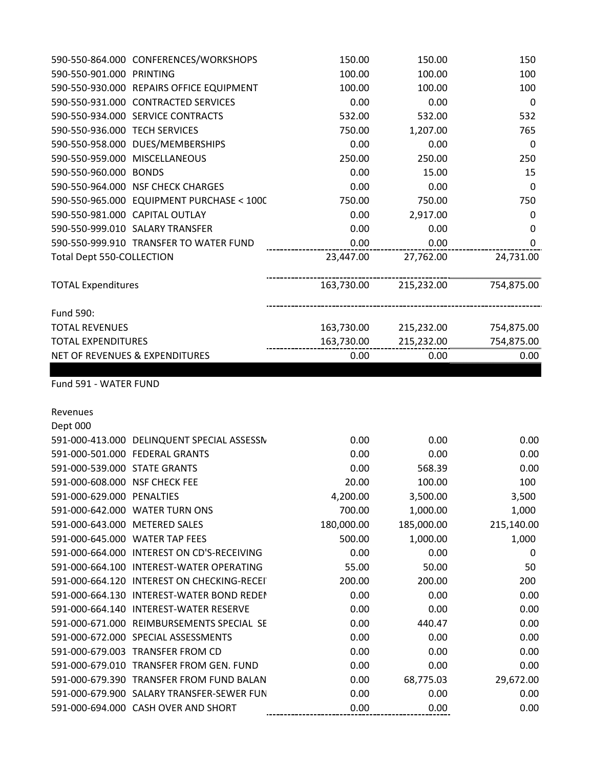| 590-550-901.000 PRINTING         |                                            | 100.00     | 100.00     | 100              |
|----------------------------------|--------------------------------------------|------------|------------|------------------|
|                                  | 590-550-930.000 REPAIRS OFFICE EQUIPMENT   | 100.00     | 100.00     | 100              |
|                                  | 590-550-931.000 CONTRACTED SERVICES        | 0.00       | 0.00       | 0                |
|                                  | 590-550-934.000 SERVICE CONTRACTS          | 532.00     | 532.00     | 532              |
| 590-550-936.000 TECH SERVICES    |                                            | 750.00     | 1,207.00   | 765              |
|                                  | 590-550-958.000 DUES/MEMBERSHIPS           | 0.00       | 0.00       | 0                |
|                                  | 590-550-959.000 MISCELLANEOUS              | 250.00     | 250.00     | 250              |
| 590-550-960.000 BONDS            |                                            | 0.00       | 15.00      | 15               |
|                                  | 590-550-964.000 NSF CHECK CHARGES          | 0.00       | 0.00       | 0                |
|                                  | 590-550-965.000 EQUIPMENT PURCHASE < 1000  | 750.00     | 750.00     | 750              |
|                                  | 590-550-981.000 CAPITAL OUTLAY             | 0.00       | 2,917.00   | 0                |
|                                  | 590-550-999.010 SALARY TRANSFER            | 0.00       | 0.00       | 0                |
|                                  | 590-550-999.910 TRANSFER TO WATER FUND     | 0.00       | 0.00       | 0                |
| <b>Total Dept 550-COLLECTION</b> |                                            | 23,447.00  | 27,762.00  | 24,731.00        |
| <b>TOTAL Expenditures</b>        |                                            | 163,730.00 | 215,232.00 | 754,875.00       |
| Fund 590:                        |                                            |            |            |                  |
| <b>TOTAL REVENUES</b>            |                                            | 163,730.00 | 215,232.00 | 754,875.00       |
| <b>TOTAL EXPENDITURES</b>        |                                            | 163,730.00 | 215,232.00 | 754,875.00       |
|                                  | NET OF REVENUES & EXPENDITURES             | 0.00       | 0.00       | 0.00             |
| Revenues<br>Dept 000             |                                            |            |            |                  |
|                                  | 591-000-413.000 DELINQUENT SPECIAL ASSESSN | 0.00       | 0.00       | 0.00             |
|                                  | 591-000-501.000 FEDERAL GRANTS             | 0.00       | 0.00       | 0.00             |
| 591-000-539.000 STATE GRANTS     |                                            | 0.00       | 568.39     | 0.00             |
| 591-000-608.000 NSF CHECK FEE    |                                            | 20.00      | 100.00     | 100              |
| 591-000-629.000 PENALTIES        |                                            | 4,200.00   | 3,500.00   | 3,500            |
|                                  | 591-000-642.000 WATER TURN ONS             | 700.00     | 1,000.00   | 1,000            |
| 591-000-643.000 METERED SALES    |                                            | 180,000.00 | 185,000.00 | 215,140.00       |
|                                  | 591-000-645.000 WATER TAP FEES             | 500.00     | 1,000.00   | 1,000            |
|                                  | 591-000-664.000 INTEREST ON CD'S-RECEIVING | 0.00       | 0.00       | $\boldsymbol{0}$ |
|                                  | 591-000-664.100 INTEREST-WATER OPERATING   | 55.00      | 50.00      | 50               |
|                                  | 591-000-664.120 INTEREST ON CHECKING-RECEI | 200.00     | 200.00     | 200              |
|                                  | 591-000-664.130 INTEREST-WATER BOND REDEN  | 0.00       | 0.00       | 0.00             |
|                                  | 591-000-664.140 INTEREST-WATER RESERVE     | 0.00       | 0.00       | 0.00             |
|                                  | 591-000-671.000 REIMBURSEMENTS SPECIAL SE  | 0.00       | 440.47     | 0.00             |
|                                  | 591-000-672.000 SPECIAL ASSESSMENTS        | 0.00       | 0.00       | 0.00             |
|                                  | 591-000-679.003 TRANSFER FROM CD           | 0.00       | 0.00       | 0.00             |
|                                  | 591-000-679.010 TRANSFER FROM GEN. FUND    | 0.00       | 0.00       | 0.00             |
|                                  |                                            |            |            |                  |
|                                  | 591-000-679.390 TRANSFER FROM FUND BALAN   | 0.00       | 68,775.03  | 29,672.00        |
|                                  | 591-000-679.900 SALARY TRANSFER-SEWER FUN  | 0.00       | 0.00       | 0.00             |

590-550-864.000 CONFERENCES/WORKSHOPS 150.00 150.00 150.00 150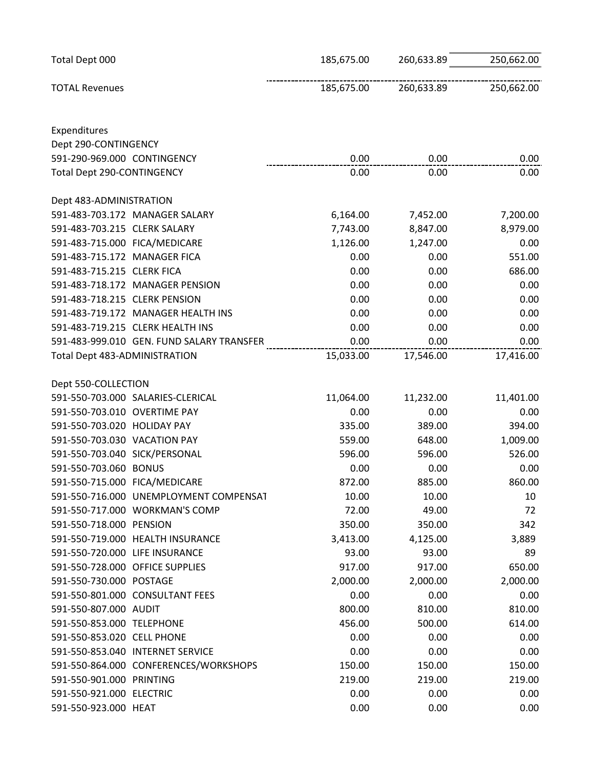| Total Dept 000                            | 185,675.00 | 260,633.89 | 250,662.00 |
|-------------------------------------------|------------|------------|------------|
| <b>TOTAL Revenues</b>                     | 185,675.00 | 260,633.89 | 250,662.00 |
| Expenditures                              |            |            |            |
| Dept 290-CONTINGENCY                      |            |            |            |
| 591-290-969.000 CONTINGENCY               | 0.00       | 0.00       | 0.00       |
| Total Dept 290-CONTINGENCY                | 0.00       | 0.00       | 0.00       |
| Dept 483-ADMINISTRATION                   |            |            |            |
| 591-483-703.172 MANAGER SALARY            | 6,164.00   | 7,452.00   | 7,200.00   |
| 591-483-703.215 CLERK SALARY              | 7,743.00   | 8,847.00   | 8,979.00   |
| 591-483-715.000 FICA/MEDICARE             | 1,126.00   | 1,247.00   | 0.00       |
| 591-483-715.172 MANAGER FICA              | 0.00       | 0.00       | 551.00     |
| 591-483-715.215 CLERK FICA                | 0.00       | 0.00       | 686.00     |
| 591-483-718.172 MANAGER PENSION           | 0.00       | 0.00       | 0.00       |
| 591-483-718.215 CLERK PENSION             | 0.00       | 0.00       | 0.00       |
| 591-483-719.172 MANAGER HEALTH INS        | 0.00       | 0.00       | 0.00       |
| 591-483-719.215 CLERK HEALTH INS          | 0.00       | 0.00       | 0.00       |
| 591-483-999.010 GEN. FUND SALARY TRANSFER | 0.00       | 0.00       | 0.00       |
| Total Dept 483-ADMINISTRATION             | 15,033.00  | 17,546.00  | 17,416.00  |
| Dept 550-COLLECTION                       |            |            |            |
| 591-550-703.000 SALARIES-CLERICAL         | 11,064.00  | 11,232.00  | 11,401.00  |
| 591-550-703.010 OVERTIME PAY              | 0.00       | 0.00       | 0.00       |
| 591-550-703.020 HOLIDAY PAY               | 335.00     | 389.00     | 394.00     |
| 591-550-703.030 VACATION PAY              | 559.00     | 648.00     | 1,009.00   |
| 591-550-703.040 SICK/PERSONAL             | 596.00     | 596.00     | 526.00     |
| 591-550-703.060 BONUS                     | 0.00       | 0.00       | 0.00       |
| 591-550-715.000 FICA/MEDICARE             | 872.00     | 885.00     | 860.00     |
| 591-550-716.000 UNEMPLOYMENT COMPENSAT    | 10.00      | 10.00      | 10         |
| 591-550-717.000 WORKMAN'S COMP            | 72.00      | 49.00      | 72         |
| 591-550-718.000 PENSION                   | 350.00     | 350.00     | 342        |
| 591-550-719.000 HEALTH INSURANCE          | 3,413.00   | 4,125.00   | 3,889      |
| 591-550-720.000 LIFE INSURANCE            | 93.00      | 93.00      | 89         |
| 591-550-728.000 OFFICE SUPPLIES           | 917.00     | 917.00     | 650.00     |
| 591-550-730.000 POSTAGE                   | 2,000.00   | 2,000.00   | 2,000.00   |
| 591-550-801.000 CONSULTANT FEES           | 0.00       | 0.00       | 0.00       |
| 591-550-807.000 AUDIT                     | 800.00     | 810.00     | 810.00     |
| 591-550-853.000 TELEPHONE                 | 456.00     | 500.00     | 614.00     |
| 591-550-853.020 CELL PHONE                | 0.00       | 0.00       | 0.00       |
| 591-550-853.040 INTERNET SERVICE          | 0.00       | 0.00       | 0.00       |
| 591-550-864.000 CONFERENCES/WORKSHOPS     | 150.00     | 150.00     | 150.00     |
| 591-550-901.000 PRINTING                  | 219.00     | 219.00     | 219.00     |
| 591-550-921.000 ELECTRIC                  | 0.00       | 0.00       | 0.00       |
| 591-550-923.000 HEAT                      | 0.00       | 0.00       | 0.00       |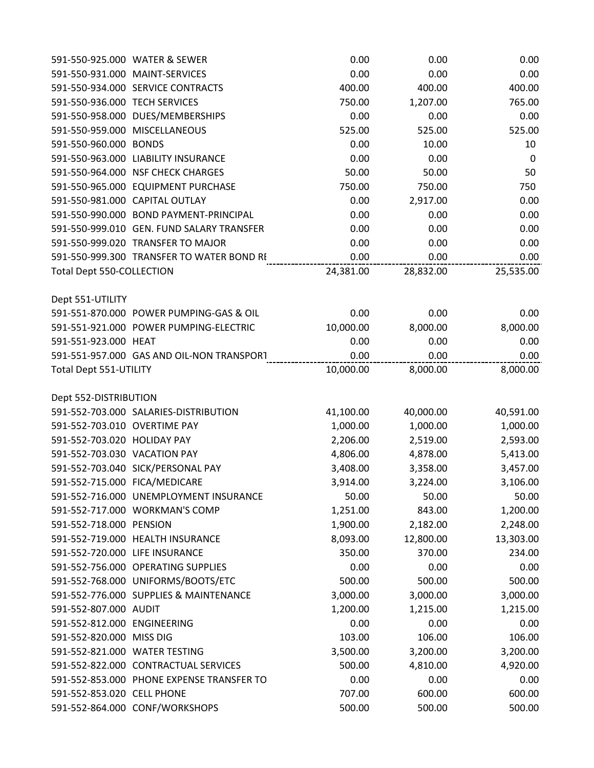|                                | 591-550-925.000 WATER & SEWER             | 0.00      | 0.00      | 0.00        |
|--------------------------------|-------------------------------------------|-----------|-----------|-------------|
|                                | 591-550-931.000 MAINT-SERVICES            | 0.00      | 0.00      | 0.00        |
|                                | 591-550-934.000 SERVICE CONTRACTS         | 400.00    | 400.00    | 400.00      |
| 591-550-936.000 TECH SERVICES  |                                           | 750.00    | 1,207.00  | 765.00      |
|                                | 591-550-958.000 DUES/MEMBERSHIPS          | 0.00      | 0.00      | 0.00        |
|                                | 591-550-959.000 MISCELLANEOUS             | 525.00    | 525.00    | 525.00      |
| 591-550-960.000 BONDS          |                                           | 0.00      | 10.00     | 10          |
|                                | 591-550-963.000 LIABILITY INSURANCE       | 0.00      | 0.00      | $\mathbf 0$ |
|                                | 591-550-964.000 NSF CHECK CHARGES         | 50.00     | 50.00     | 50          |
|                                | 591-550-965.000 EQUIPMENT PURCHASE        | 750.00    | 750.00    | 750         |
|                                | 591-550-981.000 CAPITAL OUTLAY            | 0.00      | 2,917.00  | 0.00        |
|                                | 591-550-990.000 BOND PAYMENT-PRINCIPAL    | 0.00      | 0.00      | 0.00        |
|                                | 591-550-999.010 GEN. FUND SALARY TRANSFER | 0.00      | 0.00      | 0.00        |
|                                | 591-550-999.020 TRANSFER TO MAJOR         | 0.00      | 0.00      | 0.00        |
|                                | 591-550-999.300 TRANSFER TO WATER BOND RE | 0.00      | 0.00      | 0.00        |
| Total Dept 550-COLLECTION      |                                           | 24,381.00 | 28,832.00 | 25,535.00   |
| Dept 551-UTILITY               |                                           |           |           |             |
|                                | 591-551-870.000 POWER PUMPING-GAS & OIL   | 0.00      | 0.00      | 0.00        |
|                                | 591-551-921.000 POWER PUMPING-ELECTRIC    | 10,000.00 | 8,000.00  | 8,000.00    |
| 591-551-923.000 HEAT           |                                           | 0.00      | 0.00      | 0.00        |
|                                | 591-551-957.000 GAS AND OIL-NON TRANSPORT | 0.00      | 0.00      | 0.00        |
| Total Dept 551-UTILITY         |                                           | 10,000.00 | 8,000.00  | 8,000.00    |
| Dept 552-DISTRIBUTION          |                                           |           |           |             |
|                                | 591-552-703.000 SALARIES-DISTRIBUTION     | 41,100.00 | 40,000.00 | 40,591.00   |
| 591-552-703.010 OVERTIME PAY   |                                           | 1,000.00  | 1,000.00  | 1,000.00    |
| 591-552-703.020 HOLIDAY PAY    |                                           | 2,206.00  | 2,519.00  | 2,593.00    |
| 591-552-703.030 VACATION PAY   |                                           | 4,806.00  | 4,878.00  | 5,413.00    |
|                                | 591-552-703.040 SICK/PERSONAL PAY         | 3,408.00  | 3,358.00  | 3,457.00    |
| 591-552-715.000 FICA/MEDICARE  |                                           | 3,914.00  | 3,224.00  | 3,106.00    |
|                                | 591-552-716.000 UNEMPLOYMENT INSURANCE    | 50.00     | 50.00     | 50.00       |
|                                | 591-552-717.000 WORKMAN'S COMP            | 1,251.00  | 843.00    | 1,200.00    |
| 591-552-718.000 PENSION        |                                           | 1,900.00  | 2,182.00  | 2,248.00    |
|                                | 591-552-719.000 HEALTH INSURANCE          | 8,093.00  | 12,800.00 | 13,303.00   |
| 591-552-720.000 LIFE INSURANCE |                                           | 350.00    | 370.00    | 234.00      |
|                                | 591-552-756.000 OPERATING SUPPLIES        | 0.00      | 0.00      | 0.00        |
|                                | 591-552-768.000 UNIFORMS/BOOTS/ETC        | 500.00    | 500.00    | 500.00      |
|                                | 591-552-776.000 SUPPLIES & MAINTENANCE    | 3,000.00  | 3,000.00  | 3,000.00    |
| 591-552-807.000 AUDIT          |                                           | 1,200.00  | 1,215.00  | 1,215.00    |
| 591-552-812.000 ENGINEERING    |                                           | 0.00      | 0.00      | 0.00        |
| 591-552-820.000 MISS DIG       |                                           | 103.00    | 106.00    | 106.00      |
| 591-552-821.000 WATER TESTING  |                                           | 3,500.00  | 3,200.00  | 3,200.00    |
|                                | 591-552-822.000 CONTRACTUAL SERVICES      | 500.00    | 4,810.00  | 4,920.00    |
|                                | 591-552-853.000 PHONE EXPENSE TRANSFER TO | 0.00      | 0.00      | 0.00        |
| 591-552-853.020 CELL PHONE     |                                           | 707.00    | 600.00    | 600.00      |
|                                | 591-552-864.000 CONF/WORKSHOPS            | 500.00    | 500.00    | 500.00      |
|                                |                                           |           |           |             |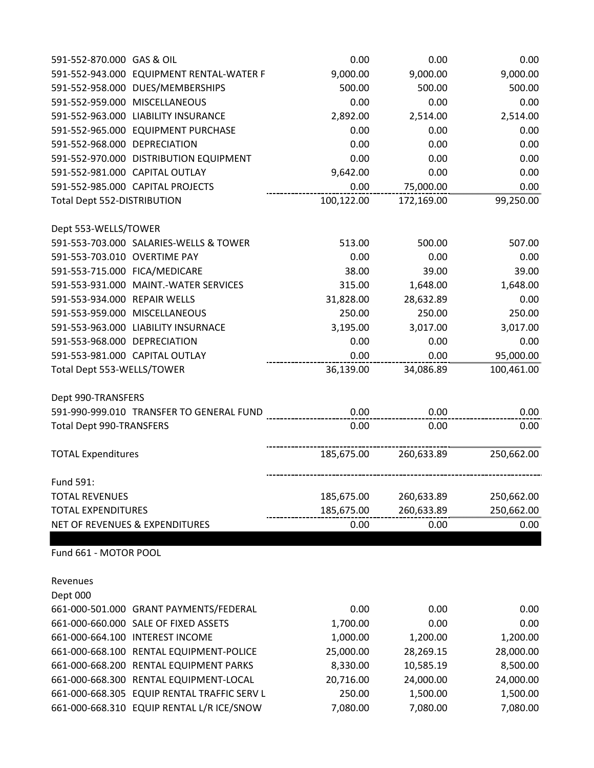| 591-552-870.000 GAS & OIL                    | 0.00       | 0.00       | 0.00       |
|----------------------------------------------|------------|------------|------------|
| 591-552-943.000 EQUIPMENT RENTAL-WATER F     | 9,000.00   | 9,000.00   | 9,000.00   |
| 591-552-958.000<br>DUES/MEMBERSHIPS          | 500.00     | 500.00     | 500.00     |
| 591-552-959.000<br><b>MISCELLANEOUS</b>      | 0.00       | 0.00       | 0.00       |
| 591-552-963.000 LIABILITY INSURANCE          | 2,892.00   | 2,514.00   | 2,514.00   |
| 591-552-965.000<br><b>EQUIPMENT PURCHASE</b> | 0.00       | 0.00       | 0.00       |
| 591-552-968.000 DEPRECIATION                 | 0.00       | 0.00       | 0.00       |
| 591-552-970.000 DISTRIBUTION EQUIPMENT       | 0.00       | 0.00       | 0.00       |
| 591-552-981.000 CAPITAL OUTLAY               | 9,642.00   | 0.00       | 0.00       |
| 591-552-985.000 CAPITAL PROJECTS             | 0.00       | 75,000.00  | 0.00       |
| Total Dept 552-DISTRIBUTION                  | 100,122.00 | 172,169.00 | 99,250.00  |
| Dept 553-WELLS/TOWER                         |            |            |            |
| 591-553-703.000 SALARIES-WELLS & TOWER       | 513.00     | 500.00     | 507.00     |
| 591-553-703.010 OVERTIME PAY                 | 0.00       | 0.00       | 0.00       |
| 591-553-715.000 FICA/MEDICARE                | 38.00      | 39.00      | 39.00      |
| 591-553-931.000 MAINT.-WATER SERVICES        | 315.00     | 1,648.00   | 1,648.00   |
| 591-553-934.000<br><b>REPAIR WELLS</b>       | 31,828.00  | 28,632.89  | 0.00       |
| 591-553-959.000 MISCELLANEOUS                | 250.00     | 250.00     | 250.00     |
| 591-553-963.000 LIABILITY INSURNACE          | 3,195.00   | 3,017.00   | 3,017.00   |
| 591-553-968.000 DEPRECIATION                 | 0.00       | 0.00       | 0.00       |
| 591-553-981.000 CAPITAL OUTLAY               | 0.00       | 0.00       | 95,000.00  |
| Total Dept 553-WELLS/TOWER                   | 36,139.00  | 34,086.89  | 100,461.00 |
| Dept 990-TRANSFERS                           |            |            |            |
| 591-990-999.010 TRANSFER TO GENERAL FUND     | 0.00       | 0.00       | 0.00       |
| <b>Total Dept 990-TRANSFERS</b>              | 0.00       | 0.00       | 0.00       |
| <b>TOTAL Expenditures</b>                    | 185,675.00 | 260,633.89 | 250,662.00 |
| Fund 591:                                    |            |            |            |
| <b>TOTAL REVENUES</b>                        | 185,675.00 | 260,633.89 | 250,662.00 |
| <b>TOTAL EXPENDITURES</b>                    | 185,675.00 | 260,633.89 | 250,662.00 |
| NET OF REVENUES & EXPENDITURES               | 0.00       | 0.00       | 0.00       |
| Fund 661 - MOTOR POOL                        |            |            |            |
| Revenues                                     |            |            |            |
| Dept 000                                     |            |            |            |
| 661-000-501.000 GRANT PAYMENTS/FEDERAL       | 0.00       | 0.00       | 0.00       |
| 661-000-660.000 SALE OF FIXED ASSETS         | 1,700.00   | 0.00       | 0.00       |
|                                              |            |            |            |

| 661-000-660.000 SALE OF FIXED ASSETS        | 1,700.00  | 0.00      | 0.00      |
|---------------------------------------------|-----------|-----------|-----------|
| 661-000-664.100 INTEREST INCOME             | 1,000.00  | 1,200.00  | 1,200.00  |
| 661-000-668.100 RENTAL EQUIPMENT-POLICE     | 25,000.00 | 28,269.15 | 28,000.00 |
| 661-000-668.200 RENTAL EQUIPMENT PARKS      | 8,330.00  | 10,585.19 | 8,500.00  |
| 661-000-668.300 RENTAL EQUIPMENT-LOCAL      | 20,716.00 | 24,000.00 | 24,000.00 |
| 661-000-668.305 EQUIP RENTAL TRAFFIC SERV L | 250.00    | 1,500.00  | 1,500.00  |
| 661-000-668.310 EQUIP RENTAL L/R ICE/SNOW   | 7,080.00  | 7,080.00  | 7,080.00  |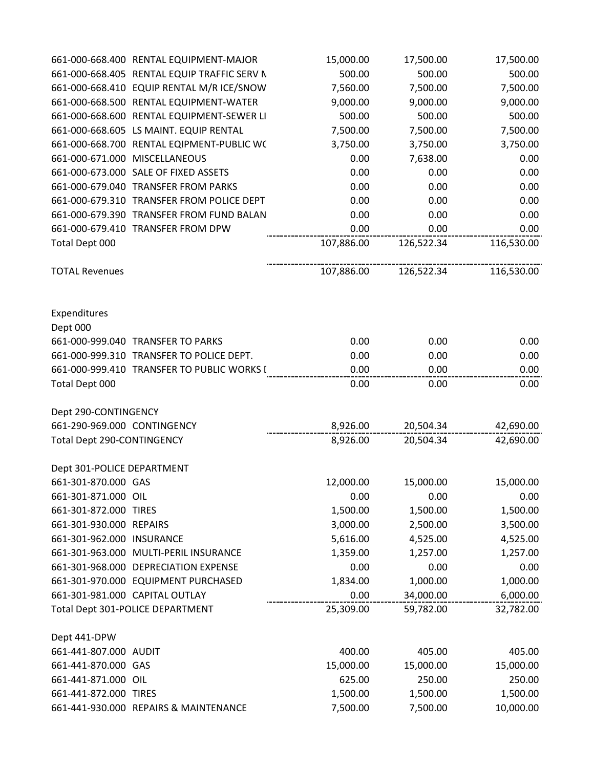|                             | 661-000-668.400 RENTAL EQUIPMENT-MAJOR      | 15,000.00  | 17,500.00  | 17,500.00    |
|-----------------------------|---------------------------------------------|------------|------------|--------------|
|                             | 661-000-668.405 RENTAL EQUIP TRAFFIC SERV N | 500.00     | 500.00     | 500.00       |
|                             | 661-000-668.410 EQUIP RENTAL M/R ICE/SNOW   | 7,560.00   | 7,500.00   | 7,500.00     |
|                             | 661-000-668.500 RENTAL EQUIPMENT-WATER      | 9,000.00   | 9,000.00   | 9,000.00     |
|                             | 661-000-668.600 RENTAL EQUIPMENT-SEWER LI   | 500.00     | 500.00     | 500.00       |
|                             | 661-000-668.605 LS MAINT. EQUIP RENTAL      | 7,500.00   | 7,500.00   | 7,500.00     |
|                             | 661-000-668.700 RENTAL EQIPMENT-PUBLIC WC   | 3,750.00   | 3,750.00   | 3,750.00     |
|                             | 661-000-671.000 MISCELLANEOUS               | 0.00       | 7,638.00   | 0.00         |
|                             | 661-000-673.000 SALE OF FIXED ASSETS        | 0.00       | 0.00       | 0.00         |
|                             | 661-000-679.040 TRANSFER FROM PARKS         | 0.00       | 0.00       | 0.00         |
|                             | 661-000-679.310 TRANSFER FROM POLICE DEPT   | 0.00       | 0.00       | 0.00         |
|                             | 661-000-679.390 TRANSFER FROM FUND BALAN    | 0.00       | 0.00       | 0.00         |
|                             | 661-000-679.410 TRANSFER FROM DPW           | 0.00       | 0.00       | 0.00         |
| Total Dept 000              |                                             | 107,886.00 | 126,522.34 | 116,530.00   |
| <b>TOTAL Revenues</b>       |                                             | 107,886.00 | 126,522.34 | 116,530.00   |
| Expenditures<br>Dept 000    |                                             |            |            |              |
|                             | 661-000-999.040 TRANSFER TO PARKS           | 0.00       | 0.00       | 0.00         |
|                             | 661-000-999.310 TRANSFER TO POLICE DEPT.    | 0.00       | 0.00       |              |
|                             | 661-000-999.410 TRANSFER TO PUBLIC WORKS I  | 0.00       | 0.00       | 0.00<br>0.00 |
| Total Dept 000              |                                             | 0.00       | 0.00       | 0.00         |
| Dept 290-CONTINGENCY        |                                             |            |            |              |
| 661-290-969.000 CONTINGENCY |                                             | 8,926.00   | 20,504.34  | 42,690.00    |
| Total Dept 290-CONTINGENCY  |                                             | 8,926.00   | 20,504.34  | 42,690.00    |
| Dept 301-POLICE DEPARTMENT  |                                             |            |            |              |
| 661-301-870.000 GAS         |                                             | 12,000.00  | 15,000.00  | 15,000.00    |
| 661-301-871.000 OIL         |                                             | 0.00       | 0.00       | 0.00         |
| 661-301-872.000 TIRES       |                                             | 1,500.00   | 1,500.00   | 1,500.00     |
| 661-301-930.000 REPAIRS     |                                             | 3,000.00   | 2,500.00   | 3,500.00     |
| 661-301-962.000 INSURANCE   |                                             | 5,616.00   | 4,525.00   | 4,525.00     |
|                             | 661-301-963.000 MULTI-PERIL INSURANCE       | 1,359.00   | 1,257.00   | 1,257.00     |
|                             | 661-301-968.000 DEPRECIATION EXPENSE        | 0.00       | 0.00       | 0.00         |
|                             | 661-301-970.000 EQUIPMENT PURCHASED         | 1,834.00   | 1,000.00   | 1,000.00     |
|                             | 661-301-981.000 CAPITAL OUTLAY              | 0.00       | 34,000.00  | 6,000.00     |
|                             | Total Dept 301-POLICE DEPARTMENT            | 25,309.00  | 59,782.00  | 32,782.00    |
| Dept 441-DPW                |                                             |            |            |              |
| 661-441-807.000 AUDIT       |                                             | 400.00     | 405.00     | 405.00       |
| 661-441-870.000 GAS         |                                             | 15,000.00  | 15,000.00  | 15,000.00    |
| 661-441-871.000 OIL         |                                             | 625.00     | 250.00     | 250.00       |
| 661-441-872.000 TIRES       |                                             | 1,500.00   | 1,500.00   | 1,500.00     |
|                             | 661-441-930.000 REPAIRS & MAINTENANCE       | 7,500.00   | 7,500.00   | 10,000.00    |